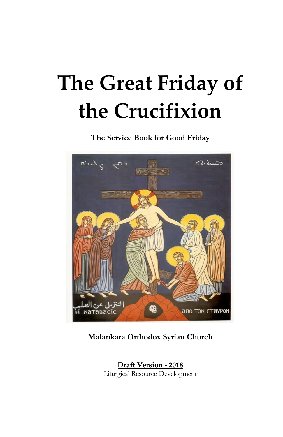# **The Great Friday of the Crucifixion**

**The Service Book for Good Friday**



**Malankara Orthodox Syrian Church**

**Draft Version - 2018** Liturgical Resource Development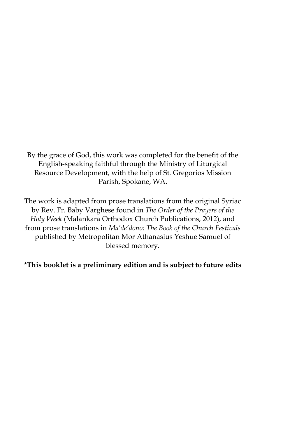By the grace of God, this work was completed for the benefit of the English-speaking faithful through the Ministry of Liturgical Resource Development, with the help of St. Gregorios Mission Parish, Spokane, WA.

The work is adapted from prose translations from the original Syriac by Rev. Fr. Baby Varghese found in *The Order of the Prayers of the Holy Week* (Malankara Orthodox Church Publications, 2012), and from prose translations in *Ma'de'dono: The Book of the Church Festivals* published by Metropolitan Mor Athanasius Yeshue Samuel of blessed memory.

\***This booklet is a preliminary edition and is subject to future edits**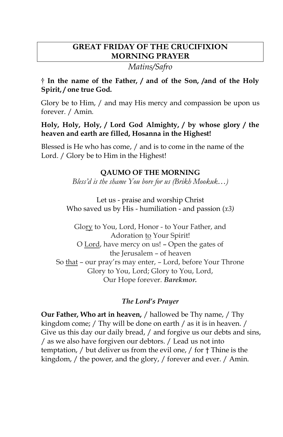# **GREAT FRIDAY OF THE CRUCIFIXION MORNING PRAYER**

*Matins/Safro*

# **† In the name of the Father, / and of the Son, /and of the Holy Spirit, / one true God.**

Glory be to Him, / and may His mercy and compassion be upon us forever. / Amin*.*

# **Holy, Holy, Holy, / Lord God Almighty, / by whose glory / the heaven and earth are filled, Hosanna in the Highest!**

Blessed is He who has come, / and is to come in the name of the Lord. / Glory be to Him in the Highest!

# **QAUMO OF THE MORNING**

*Bless'd is the shame You bore for us (Brikh Mookuk…)*

Let us - praise and worship Christ Who saved us by His - humiliation - and passion (*x3)*

Glory to You, Lord, Honor - to Your Father, and Adoration to Your Spirit! O Lord, have mercy on us! – Open the gates of the Jerusalem – of heaven So that – our pray'rs may enter, – Lord, before Your Throne Glory to You, Lord; Glory to You, Lord, Our Hope forever. *Barekmor.*

# *The Lord's Prayer*

**Our Father, Who art in heaven,** / hallowed be Thy name, / Thy kingdom come; / Thy will be done on earth / as it is in heaven. / Give us this day our daily bread, / and forgive us our debts and sins, / as we also have forgiven our debtors. / Lead us not into temptation, / but deliver us from the evil one, / for † Thine is the kingdom, / the power, and the glory, / forever and ever. / Amin.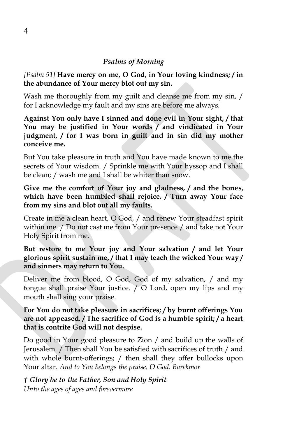## *Psalms of Morning*

*[Psalm 51]* **Have mercy on me, O God, in Your loving kindness; / in the abundance of Your mercy blot out my sin.**

Wash me thoroughly from my guilt and cleanse me from my sin, / for I acknowledge my fault and my sins are before me always.

**Against You only have I sinned and done evil in Your sight, / that You may be justified in Your words / and vindicated in Your judgment, / for I was born in guilt and in sin did my mother conceive me.**

But You take pleasure in truth and You have made known to me the secrets of Your wisdom. / Sprinkle me with Your hyssop and I shall be clean; / wash me and I shall be whiter than snow.

**Give me the comfort of Your joy and gladness, / and the bones, which have been humbled shall rejoice. / Turn away Your face from my sins and blot out all my faults.**

Create in me a clean heart, O God, / and renew Your steadfast spirit within me. / Do not cast me from Your presence / and take not Your Holy Spirit from me.

**But restore to me Your joy and Your salvation / and let Your glorious spirit sustain me, / that I may teach the wicked Your way / and sinners may return to You.**

Deliver me from blood, O God, God of my salvation, / and my tongue shall praise Your justice. / O Lord, open my lips and my mouth shall sing your praise.

**For You do not take pleasure in sacrifices; / by burnt offerings You are not appeased. / The sacrifice of God is a humble spirit; / a heart that is contrite God will not despise.**

Do good in Your good pleasure to Zion / and build up the walls of Jerusalem. / Then shall You be satisfied with sacrifices of truth / and with whole burnt-offerings; / then shall they offer bullocks upon Your altar. *And to You belongs the praise, O God. Barekmor*

*† Glory be to the Father, Son and Holy Spirit Unto the ages of ages and forevermore*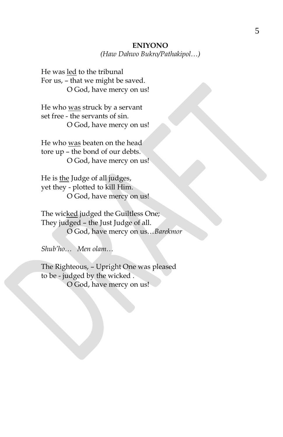#### **ENIYONO**

*(Haw Dahwo Bukro/Pathakipol…)*

He was led to the tribunal For us, – that we might be saved. O God, have mercy on us!

He who was struck by a servant set free - the servants of sin. O God, have mercy on us!

He who was beaten on the head tore up – the bond of our debts. O God, have mercy on us!

He is the Judge of all judges, yet they - plotted to kill Him. O God, have mercy on us!

The wicked judged the Guiltless One; They judged – the Just Judge of all. O God, have mercy on us…*Barekmor* 

*Shub'ho… Men olam…*

The Righteous, – Upright One was pleased to be - judged by the wicked . O God, have mercy on us!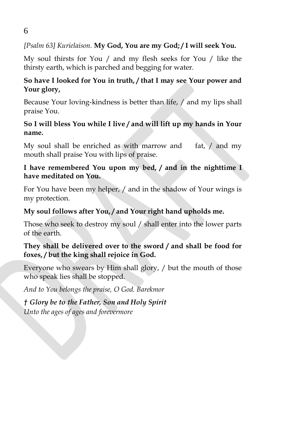# *[Psalm 63] Kurielaison.* **My God, You are my God; / I will seek You.**

My soul thirsts for You / and my flesh seeks for You / like the thirsty earth, which is parched and begging for water.

# **So have I looked for You in truth, / that I may see Your power and Your glory,**

Because Your loving-kindness is better than life, / and my lips shall praise You.

# **So I will bless You while I live / and will lift up my hands in Your name.**

My soul shall be enriched as with marrow and fat, / and my mouth shall praise You with lips of praise.

# **I have remembered You upon my bed, / and in the nighttime I have meditated on You.**

For You have been my helper, / and in the shadow of Your wings is my protection.

# **My soul follows after You, / and Your right hand upholds me.**

Those who seek to destroy my soul / shall enter into the lower parts of the earth.

# **They shall be delivered over to the sword / and shall be food for foxes, / but the king shall rejoice in God.**

Everyone who swears by Him shall glory, / but the mouth of those who speak lies shall be stopped.

*And to You belongs the praise, O God. Barekmor*

*† Glory be to the Father, Son and Holy Spirit Unto the ages of ages and forevermore*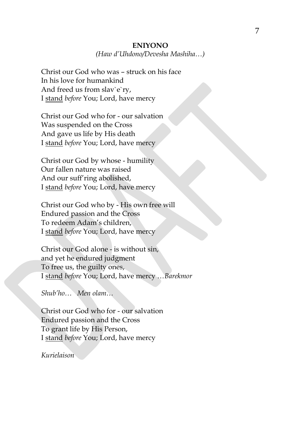#### **ENIYONO**

*(Haw d'Uhdono/Devesha Mashiha…)*

Christ our God who was – struck on his face In his love for humankind And freed us from slav`e`ry, I stand *before* You; Lord, have mercy

Christ our God who for - our salvation Was suspended on the Cross And gave us life by His death I stand *before* You; Lord, have mercy

Christ our God by whose - humility Our fallen nature was raised And our suff'ring abolished, I stand *before* You; Lord, have mercy

Christ our God who by - His own free will Endured passion and the Cross To redeem Adam's children, I stand *before* You; Lord, have mercy

Christ our God alone - is without sin, and yet he endured judgment To free us, the guilty ones, I stand *before* You; Lord, have mercy …*Barekmor* 

*Shub'ho… Men olam…*

Christ our God who for - our salvation Endured passion and the Cross To grant life by His Person, I stand *before* You; Lord, have mercy

*Kurielaison*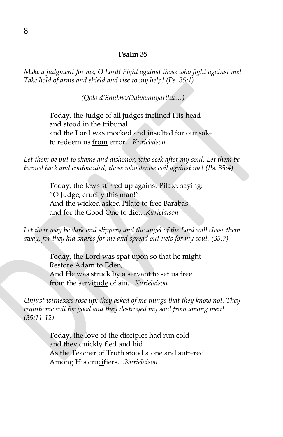#### **Psalm 35**

*Make a judgment for me, O Lord! Fight against those who fight against me! Take hold of arms and shield and rise to my help! (Ps. 35:1)*

*(Qolo d'Shubho/Daivamuyarthu…)*

Today, the Judge of all judges inclined His head and stood in the tribunal and the Lord was mocked and insulted for our sake to redeem us from error…*Kurielaison*

Let them be put to shame and dishonor, who seek after my soul. Let them be *turned back and confounded, those who devise evil against me! (Ps. 35:4)*

> Today, the Jews stirred up against Pilate, saying: "O Judge, crucify this man!" And the wicked asked Pilate to free Barabas and for the Good One to die…*Kurielaison*

Let their way be dark and slippery and the angel of the Lord will chase them *away, for they hid snares for me and spread out nets for my soul. (35:7)*

> Today, the Lord was spat upon so that he might Restore Adam to Eden, And He was struck by a servant to set us free from the servitude of sin…*Kurielaison*

*Unjust witnesses rose up; they asked of me things that they know not. They requite me evil for good and they destroyed my soul from among men! (35:11-12)*

> Today, the love of the disciples had run cold and they quickly fled and hid As the Teacher of Truth stood alone and suffered Among His crucifiers…*Kurielaison*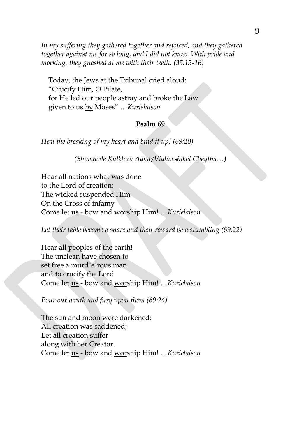*In my suffering they gathered together and rejoiced, and they gathered together against me for so long, and I did not know. With pride and mocking, they gnashed at me with their teeth. (35:15-16)*

Today, the Jews at the Tribunal cried aloud: "Crucify Him, O Pilate, for He led our people astray and broke the Law given to us by Moses" …*Kurielaison*

## **Psalm 69**

*Heal the breaking of my heart and bind it up! (69:20)*

*(Shmahode Kulkhun Aame/Vidhveshikal Cheytha…)*

Hear all nations what was done to the Lord of creation: The wicked suspended Him On the Cross of infamy Come let us - bow and worship Him! …*Kurielaison*

*Let their table become a snare and their reward be a stumbling (69:22)*

Hear all peoples of the earth! The unclean have chosen to set free a murd`e`rous man and to crucify the Lord Come let us - bow and worship Him! …*Kurielaison*

*Pour out wrath and fury upon them (69:24)*

The sun and moon were darkened; All creation was saddened; Let all creation suffer along with her Creator. Come let us - bow and worship Him! …*Kurielaison*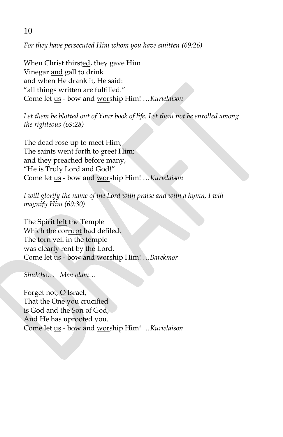*For they have persecuted Him whom you have smitten (69:26)*

When Christ thirsted, they gave Him Vinegar and gall to drink and when He drank it, He said: "all things written are fulfilled." Come let us - bow and worship Him! …*Kurielaison*

*Let them be blotted out of Your book of life. Let them not be enrolled among the righteous (69:28)*

The dead rose up to meet Him; The saints went forth to greet Him; and they preached before many, "He is Truly Lord and God!" Come let us - bow and worship Him! …*Kurielaison*

I will glorify the name of the Lord with praise and with a hymn, I will *magnify Him (69:30)*

The Spirit left the Temple Which the corrupt had defiled. The torn veil in the temple was clearly rent by the Lord. Come let us - bow and worship Him! …*Barekmor* 

*Shub'ho… Men olam…*

Forget not,  $Q$  Israel, That the One you crucified is God and the Son of God, And He has uprooted you. Come let us - bow and worship Him! …*Kurielaison*

10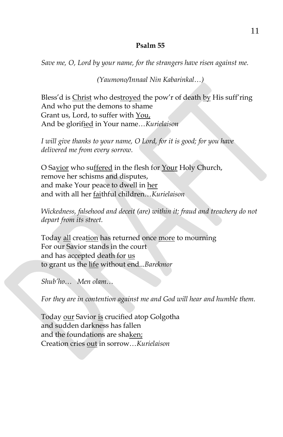## **Psalm 55**

*Save me, O, Lord by your name, for the strangers have risen against me.*

*(Yaumono/Innaal Nin Kabarinkal…)*

Bless'd is Christ who destroyed the pow'r of death by His suff'ring And who put the demons to shame Grant us, Lord, to suffer with You, And be glorified in Your name…*Kurielaison*

*I will give thanks to your name, O Lord, for it is good; for you have delivered me from every sorrow.*

O Savior who suffered in the flesh for Your Holy Church, remove her schisms and disputes, and make Your peace to dwell in her and with all her faithful children…*Kurielaison*

*Wickedness, falsehood and deceit (are) within it; fraud and treachery do not depart from its street.*

Today all creation has returned once more to mourning For our Savior stands in the court and has accepted death for us to grant us the life without end...*Barekmor*

*Shub'ho… Men olam…*

*For they are in contention against me and God will hear and humble them.*

Today our Savior is crucified atop Golgotha and sudden darkness has fallen and the foundations are shaken; Creation cries out in sorrow…*Kurielaison*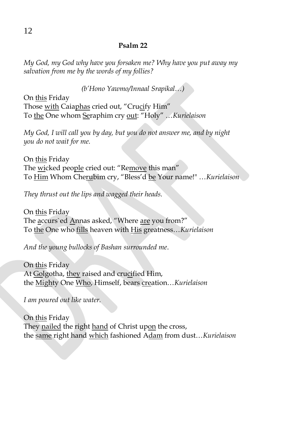## **Psalm 22**

*My God, my God why have you forsaken me? Why have you put away my salvation from me by the words of my follies?*

*(b'Hono Yawmo/Innaal Srapikal…)*

On this Friday Those with Caiaphas cried out, "Crucify Him" To the One whom Seraphim cry out: "Holy" …*Kurielaison*

*My God, I will call you by day, but you do not answer me, and by night you do not wait for me.*

On this Friday The wicked people cried out: "Remove this man" To Him Whom Cherubim cry, "Bless'd be Your name!" …*Kurielaison*

*They thrust out the lips and wagged their heads.*

On this Friday The accurs`ed Annas asked, "Where are you from?" To the One who fills heaven with His greatness…*Kurielaison*

*And the young bullocks of Bashan surrounded me*.

On this Friday At Golgotha, they raised and crucified Him, the Mighty One Who, Himself, bears creation…*Kurielaison*

*I am poured out like water.*

On this Friday They nailed the right hand of Christ upon the cross, the same right hand which fashioned Adam from dust…*Kurielaison*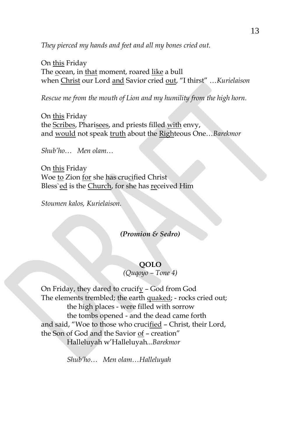*They pierced my hands and feet and all my bones cried out.*

On this Friday The ocean, in that moment, roared like a bull when Christ our Lord and Savior cried out, "I thirst" …*Kurielaison*

*Rescue me from the mouth of Lion and my humility from the high horn.*

On this Friday the Scribes, Pharisees, and priests filled with envy, and would not speak truth about the Righteous One…*Barekmor* 

*Shub'ho… Men olam…*

On this Friday Woe to Zion for she has crucified Christ Bless'ed is the Church, for she has received Him

*Stoumen kalos, Kurielaison.*

#### *(Promion & Sedro)*

## **QOLO**

*(Quqoyo – Tone 4)*

On Friday, they dared to crucify – God from God The elements trembled; the earth quaked; - rocks cried out; the high places - were filled with sorrow the tombs opened - and the dead came forth and said, "Woe to those who crucified – Christ, their Lord, the Son of God and the Savior of - creation" Halleluyah w'Halleluyah*...Barekmor*

*Shub'ho… Men olam…Halleluyah*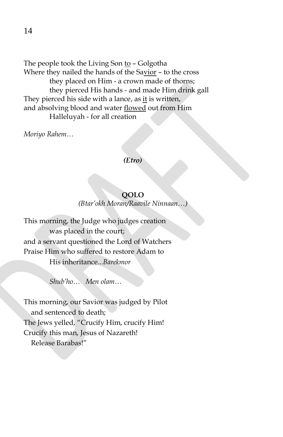The people took the Living Son to - Golgotha Where they nailed the hands of the Savior – to the cross they placed on Him - a crown made of thorns; they pierced His hands - and made Him drink gall They pierced his side with a lance, as it is written, and absolving blood and water flowed out from Him Halleluyah - for all creation

*Moriyo Rahem…*

#### *(Etro)*

## **QOLO**

*(Btar'okh Moran/Raavile Ninnaan…)*

This morning, the Judge who judges creation was placed in the court; and a servant questioned the Lord of Watchers Praise Him who suffered to restore Adam to His inheritance*...Barekmor*

*Shub'ho… Men olam…*

This morning, our Savior was judged by Pilot and sentenced to death; The Jews yelled, "Crucify Him, crucify Him! Crucify this man, Jesus of Nazareth! Release Barabas!"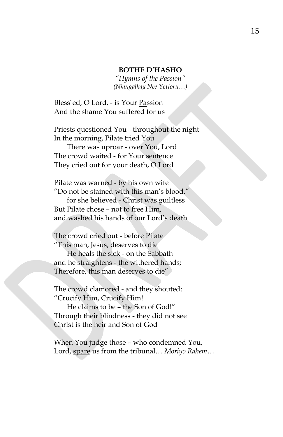#### **BOTHE D'HASHO**

*"Hymns of the Passion" (Njangalkay Nee Yettoru…)*

Bless`ed, O Lord, - is Your Passion And the shame You suffered for us

Priests questioned You - throughout the night In the morning, Pilate tried You

There was uproar - over You, Lord The crowd waited - for Your sentence They cried out for your death, O Lord

Pilate was warned - by his own wife "Do not be stained with this man's blood,"

for she believed - Christ was guiltless But Pilate chose – not to free Him, and washed his hands of our Lord's death

The crowd cried out - before Pilate "This man, Jesus, deserves to die

He heals the sick - on the Sabbath and he straightens - the withered hands; Therefore, this man deserves to die"

The crowd clamored - and they shouted: "Crucify Him, Crucify Him!

He claims to be – the Son of God!" Through their blindness - they did not see Christ is the heir and Son of God

When You judge those – who condemned You, Lord, spare us from the tribunal… *Moriyo Rahem…*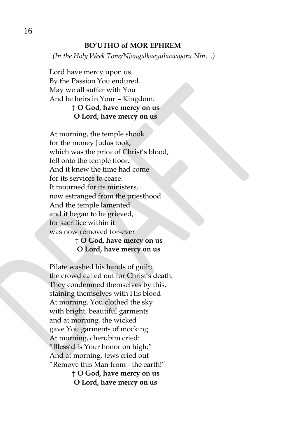#### **BO'UTHO of MOR EPHREM**

*(In the Holy Week Tone/Njangalkaayulavaayoru Nin…)*

Lord have mercy upon us By the Passion You endured. May we all suffer with You And be heirs in Your – Kingdom. † **O God, have mercy on us O Lord, have mercy on us**

At morning, the temple shook for the money Judas took, which was the price of Christ's blood, fell onto the temple floor. And it knew the time had come for its services to cease. It mourned for its ministers, now estranged from the priesthood. And the temple lamented and it began to be grieved, for sacrifice within it was now removed for-ever

## † **O God, have mercy on us O Lord, have mercy on us**

Pilate washed his hands of guilt; the crowd called out for Christ's death. They condemned themselves by this, staining themselves with His blood At morning, You clothed the sky with bright, beautiful garments and at morning, the wicked gave You garments of mocking At morning, cherubim cried: "Bless'd is Your honor on high;" And at morning, Jews cried out "Remove this Man from - the earth!"

† **O God, have mercy on us O Lord, have mercy on us**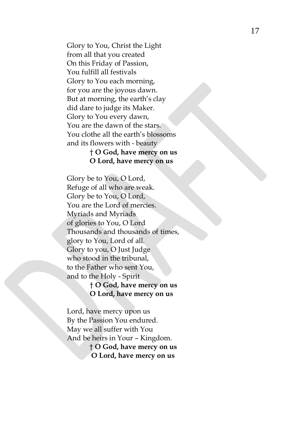Glory to You, Christ the Light from all that you created On this Friday of Passion, You fulfill all festivals Glory to You each morning, for you are the joyous dawn . But at morning, the earth's clay did dare to judge its Maker . Glory to You every dawn, You are the dawn of the stars . You clothe all the earth's blossoms and it s flowers with - beauty

## † **O God, have mercy on us O Lord, have mercy on us**

Glory be to You, O Lord, Refuge of all who are weak. Glory be to You, O Lord, You are the Lord of mercies. Myriads and Myriads of glories to You, O Lord Thousands and thousands of times , glory to You, Lord of all. Glory to you, O Just Judge who stood in the tribunal, to the Father who sent You, and to the Holy - Spirit

## † **O God, have mercy on us O Lord, have mercy on us**

Lord, have mercy upon us By the Passion You endured. May we all suffer with You And be heirs in Your – Kingdom. † **O God, have mercy on us O Lord, have mercy on us**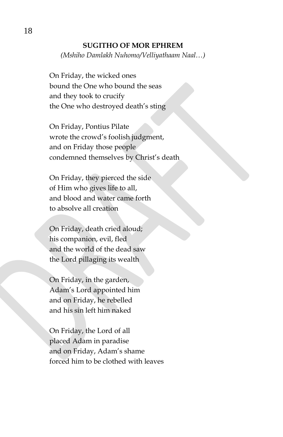### **SUGITHO OF MOR EPHREM**

*(Mshiho Damlakh Nuhomo/Velliyathaam Naal…)*

On Friday, the wicked ones bound the One who bound the seas and they took to crucify the One who destroyed death's sting

On Friday, Pontius Pilate wrote the crowd's foolish judgment, and on Friday those people condemned themselves by Christ's death

On Friday, they pierced the side of Him who gives life to all, and blood and water came forth to absolve all creation

On Friday, death cried aloud; his companion, evil, fled and the world of the dead saw the Lord pillaging its wealth

On Friday, in the garden, Adam's Lord appointed him and on Friday, he rebelled and his sin left him naked

On Friday, the Lord of all placed Adam in paradise and on Friday, Adam's shame forced him to be clothed with leaves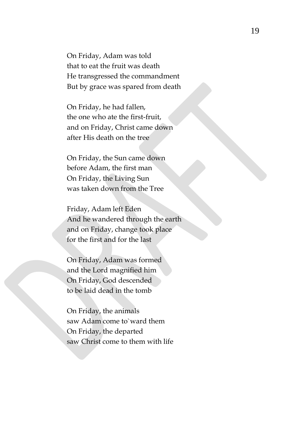On Friday, Adam was told that to eat the fruit was death He transgressed the commandment But by grace was spared from death

On Friday, he had fallen, the one who ate the first-fruit, and on Friday, Christ came down after His death on the tree

On Friday, the Sun came down before Adam, the first man On Friday, the Living Sun was taken down from the Tree

Friday, Adam left Eden And he wandered through the earth and on Friday, change took place for the first and for the last

On Friday, Adam was formed and the Lord magnified him On Friday, God descended to be laid dead in the tomb

On Friday, the animals saw Adam come to`ward them On Friday, the departed saw Christ come to them with life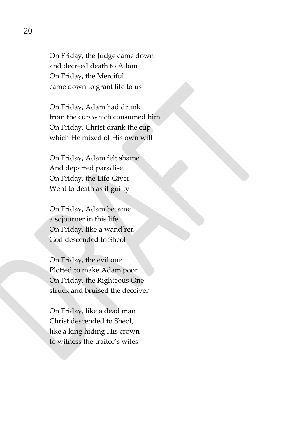On Friday, the Judge came down and decreed death to Adam On Friday, the Merciful came down to grant life to us

On Friday, Adam had drunk from the cup which consumed him On Friday, Christ drank the cup which He mixed of His own will

On Friday, Adam felt shame And departed paradise On Friday, the Life-Giver Went to death as if guilty

On Friday, Adam became a sojourner in this life On Friday, like a wand'rer, God descended to Sheol

On Friday, the evil one Plotted to make Adam poor On Friday, the Righteous One struck and bruised the deceiver

On Friday, like a dead man Christ descended to Sheol, like a king hiding His crown to witness the traitor's wiles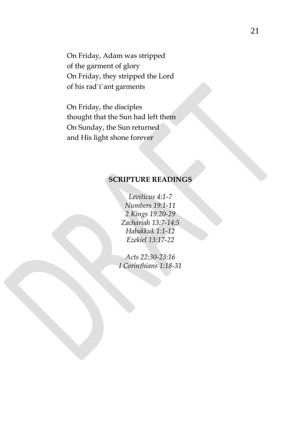On Friday, Adam was stripped of the garment of glory On Friday, they stripped the Lord of his rad`i`ant garments

On Friday, the disciples thought that the Sun had left them On Sunday, the Sun returned and His light shone forever

# **SCRIPTURE READINGS**

*Leviticus 4:1-7 Numbers 19:1-11 2 Kings 19:20-29 Zachariah 13:7-14:5 Habakkuk 1:1-12 Ezekiel 13:17-22*

*Acts 22:30-23:16 I Corinthians 1:18-31*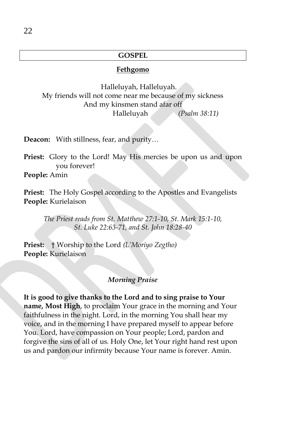## **GOSPEL**

#### **Fethgomo**

Halleluyah, Halleluyah. My friends will not come near me because of my sickness And my kinsmen stand afar off Halleluyah *(Psalm 38:11)*

**Deacon:** With stillness, fear, and purity…

**Priest:** Glory to the Lord! May His mercies be upon us and upon you forever!

**People:** Amin

**Priest:** The Holy Gospel according to the Apostles and Evangelists **People:** Kurielaison

*The Priest reads from St. Matthew 27:1-10, St. Mark 15:1-10, St. Luke 22:63-71, and St. John 18:28-40*

**Priest:** † Worship to the Lord *(L'Moriyo Zegtho)* **People:** Kurielaison

## *Morning Praise*

**It is good to give thanks to the Lord and to sing praise to Your name, Most High**, to proclaim Your grace in the morning and Your faithfulness in the night. Lord, in the morning You shall hear my voice, and in the morning I have prepared myself to appear before You. Lord, have compassion on Your people; Lord, pardon and forgive the sins of all of us. Holy One, let Your right hand rest upon us and pardon our infirmity because Your name is forever. Amin.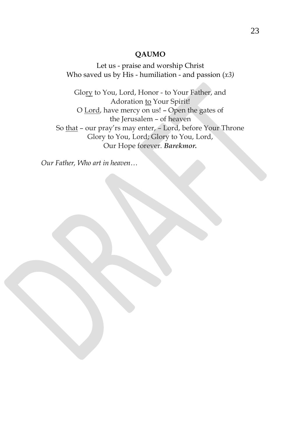## **QAUMO**

Let us - praise and worship Christ Who saved us by His - humiliation - and passion (*x3)*

Glory to You, Lord, Honor - to Your Father, and Adoration to Your Spirit! O Lord, have mercy on us! – Open the gates of the Jerusalem – of heaven So that – our pray'rs may enter, – Lord, before Your Throne Glory to You, Lord; Glory to You, Lord, Our Hope forever. *Barekmor.*

*Our Father, Who art in heaven…*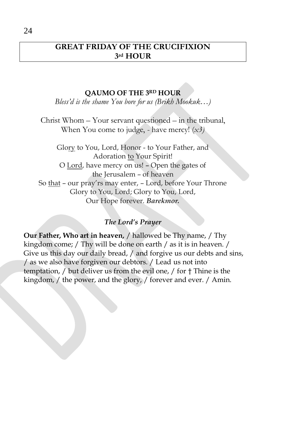# **GREAT FRIDAY OF THE CRUCIFIXION 3rd HOUR**

## **QAUMO OF THE 3RD HOUR**

*Bless'd is the shame You bore for us (Brikh Mookuk…)*

Christ Whom – Your servant questioned – in the tribunal, When You come to judge, - have mercy! (*x3)*

Glory to You, Lord, Honor - to Your Father, and Adoration to Your Spirit! O Lord, have mercy on us! – Open the gates of the Jerusalem – of heaven So that – our pray'rs may enter, – Lord, before Your Throne Glory to You, Lord; Glory to You, Lord, Our Hope forever. *Barekmor.*

## *The Lord's Prayer*

**Our Father, Who art in heaven,** / hallowed be Thy name, / Thy kingdom come; / Thy will be done on earth / as it is in heaven. / Give us this day our daily bread, / and forgive us our debts and sins, / as we also have forgiven our debtors. / Lead us not into temptation, / but deliver us from the evil one, / for † Thine is the kingdom, / the power, and the glory, / forever and ever. / Amin.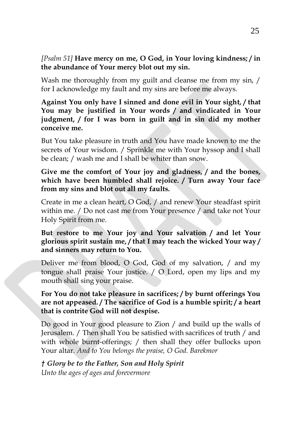# *[Psalm 51]* **Have mercy on me, O God, in Your loving kindness; / in the abundance of Your mercy blot out my sin.**

Wash me thoroughly from my guilt and cleanse me from my sin, / for I acknowledge my fault and my sins are before me always.

**Against You only have I sinned and done evil in Your sight, / that You may be justified in Your words / and vindicated in Your judgment, / for I was born in guilt and in sin did my mother conceive me.**

But You take pleasure in truth and You have made known to me the secrets of Your wisdom. / Sprinkle me with Your hyssop and I shall be clean; / wash me and I shall be whiter than snow.

## **Give me the comfort of Your joy and gladness, / and the bones, which have been humbled shall rejoice. / Turn away Your face from my sins and blot out all my faults.**

Create in me a clean heart, O God, / and renew Your steadfast spirit within me. / Do not cast me from Your presence / and take not Your Holy Spirit from me.

# **But restore to me Your joy and Your salvation / and let Your glorious spirit sustain me, / that I may teach the wicked Your way / and sinners may return to You.**

Deliver me from blood, O God, God of my salvation, / and my tongue shall praise Your justice. / O Lord, open my lips and my mouth shall sing your praise.

# **For You do not take pleasure in sacrifices; / by burnt offerings You are not appeased. / The sacrifice of God is a humble spirit; / a heart that is contrite God will not despise.**

Do good in Your good pleasure to Zion / and build up the walls of Jerusalem. / Then shall You be satisfied with sacrifices of truth / and with whole burnt-offerings; / then shall they offer bullocks upon Your altar. *And to You belongs the praise, O God. Barekmor*

# *† Glory be to the Father, Son and Holy Spirit Unto the ages of ages and forevermore*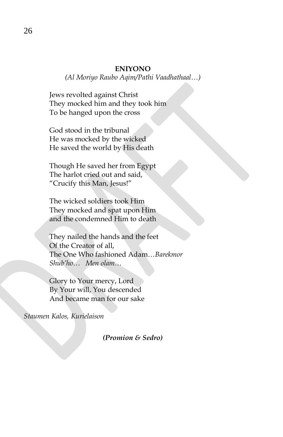#### **ENIYONO**

*(Al Moriyo Raubo Aqim/Pathi Vaadhathaal…)*

Jews revolted against Christ They mocked him and they took him To be hanged upon the cross

God stood in the tribunal He was mocked by the wicked He saved the world by His death

Though He saved her from Egypt The harlot cried out and said, "Crucify this Man, Jesus!"

The wicked soldiers took Him They mocked and spat upon Him and the condemned Him to death

They nailed the hands and the feet Of the Creator of all, The One Who fashioned Adam…*Barekmor Shub'ho… Men olam…*

Glory to Your mercy, Lord By Your will, You descended And became man for our sake

*Staumen Kalos, Kurielaison*

*(Promion & Sedro)*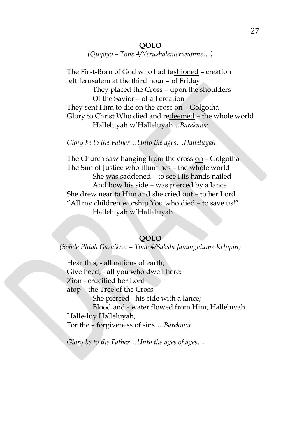## **QOLO**

*(Quqoyo – Tone 4/Yerushalemerunonne…)*

The First-Born of God who had fashioned – creation left Jerusalem at the third hour – of Friday

> They placed the Cross – upon the shoulders Of the Savior – of all creation

They sent Him to die on the cross on - Golgotha Glory to Christ Who died and redeemed – the whole world Halleluyah w'Halleluyah…*Barekmor*

*Glory be to the Father…Unto the ages…Halleluyah*

The Church saw hanging from the cross on - Golgotha The Sun of Justice who illumines – the whole world She was saddened – to see His hands nailed And how his side – was pierced by a lance She drew near to Him and she cried out – to her Lord "All my children worship You who died – to save us!" Halleluyah w'Halleluyah

#### **QOLO**

*(Sohde Phtah Gazaikun – Tone 4/Sakala Janangalume Kelppin)*

Hear this, - all nations of earth; Give heed, - all you who dwell here: Zion - crucified her Lord atop – the Tree of the Cross She pierced - his side with a lance; Blood and - water flowed from Him, Halleluyah Halle-luy Halleluyah, For the – forgiveness of sins… *Barekmor*

*Glory be to the Father…Unto the ages of ages…*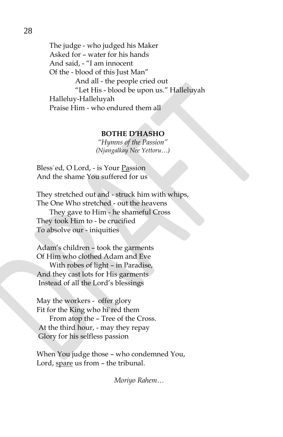The judge - who judged his Maker Asked for – water for his hands And said, - "I am innocent Of the - blood of this Just Man" And all - the people cried out "Let His - blood be upon us." Halleluyah Halleluy-Halleluyah Praise Him - who endured them all

#### **BOTHE D'HASHO**

*"Hymns of the Passion" (Njangalkay Nee Yettoru…)*

Bless`ed, O Lord, - is Your Passion And the shame You suffered for us

They stretched out and - struck him with whips, The One Who stretched - out the heavens

They gave to Him - he shameful Cross They took Him to - be crucified To absolve our - iniquities

Adam's children – took the garments Of Him who clothed Adam and Eve

With robes of light – in Paradise, And they cast lots for His garments Instead of all the Lord's blessings

May the workers - offer glory Fit for the King who hi`red them From atop the – Tree of the Cross. At the third hour, - may they repay Glory for his selfless passion

When You judge those – who condemned You, Lord, spare us from – the tribunal.

*Moriyo Rahem…*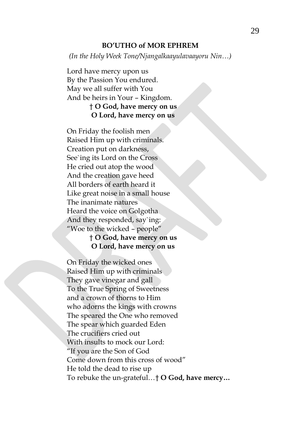#### **BO'UTHO of MOR EPHREM**

*(In the Holy Week Tone/Njangalkaayulavaayoru Nin…)*

Lord have mercy upon us By the Passion You endured. May we all suffer with You And be heirs in Your – Kingdom. † **O God, have mercy on us O Lord, have mercy on us**

On Friday the foolish men Raised Him up with criminals. Creation put on darkness, See`ing its Lord on the Cross He cried out atop the wood And the creation gave heed All borders of earth heard it Like great noise in a small house The inanimate natures Heard the voice on Golgotha And they responded, say`ing: "Woe to the wicked – people"

## † **O God, have mercy on us O Lord, have mercy on us**

On Friday the wicked ones Raised Him up with criminals They gave vinegar and gall To the True Spring of Sweetness and a crown of thorns to Him who adorns the kings with crowns The speared the One who removed The spear which guarded Eden The crucifiers cried out With insults to mock our Lord: "If you are the Son of God Come down from this cross of wood" He told the dead to rise up To rebuke the un-grateful…† **O God, have mercy…**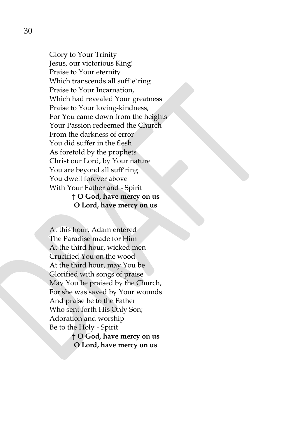Glory to Your Trinity Jesus, our victorious King! Praise to Your eternity Which transcends all suff e`ring Praise to Your Incarnation, Which had revealed Your greatness Praise to Your loving-kindness, For You came down from the heights Your Passion redeemed the Church From the darkness of error You did suffer in the flesh As foretold by the prophets Christ our Lord, by Your nature You are beyond all suff'ring You dwell forever above With Your Father and - Spirit † **O God, have mercy on us**

**O Lord, have mercy on us**

At this hour, Adam entered The Paradise made for Him At the third hour, wicked men Crucified You on the wood At the third hour, may You be Glorified with songs of praise May You be praised by the Church, For she was saved by Your wounds And praise be to the Father Who sent forth His Only Son; Adoration and worship Be to the Holy - Spirit

† **O God, have mercy on us O Lord, have mercy on us**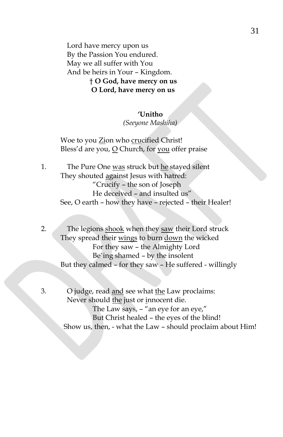Lord have mercy upon us By the Passion You endured. May we all suffer with You And be heirs in Your – Kingdom. † **O God, have mercy on us O Lord, have mercy on us**

#### **'Unitho**

*(Seeyone Mashiha)*

Woe to you Zion who crucified Christ! Bless'd are you, O Church, for you offer praise

1. The Pure One was struck but he stayed silent They shouted against Jesus with hatred: "Crucify – the son of Joseph He deceived – and insulted us" See, O earth – how they have – rejected – their Healer!

2. The legions shook when they saw their Lord struck They spread their wings to burn down the wicked For they saw – the Almighty Lord Be`ing shamed – by the insolent But they calmed – for they saw – He suffered - willingly

3. O judge, read and see what the Law proclaims: Never should the just or innocent die. The Law says, – "an eye for an eye," But Christ healed – the eyes of the blind! Show us, then, - what the Law – should proclaim about Him!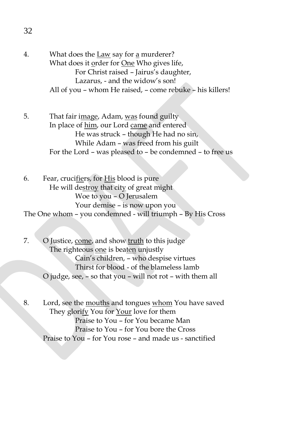- 4. What does the <u>Law</u> say for <u>a</u> murderer? What does it order for One Who gives life, For Christ raised – Jairus's daughter, Lazarus, - and the widow's son! All of you – whom He raised, – come rebuke – his killers!
- 5. That fair image, Adam, was found guilty In place of him, our Lord came and entered He was struck – though He had no sin, While Adam – was freed from his guilt For the Lord – was pleased to – be condemned – to free us
- 6. Fear, crucifiers, for His blood is pure He will destroy that city of great might Woe to you – O Jerusalem Your demise – is now upon you The One whom – you condemned - will triumph – By His Cross
- 7. O Justice, come, and show truth to this judge The righteous one is beaten unjustly Cain's children, – who despise virtues Thirst for blood - of the blameless lamb O judge, see, – so that you – will not rot – with them all
- 8. Lord, see the mouths and tongues whom You have saved They glorify You for Your love for them Praise to You – for You became Man Praise to You – for You bore the Cross Praise to You – for You rose – and made us - sanctified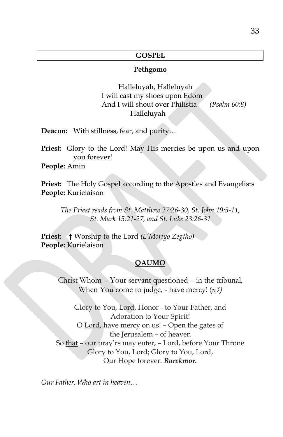## **GOSPEL**

#### **Pethgomo**

 Halleluyah, Halleluyah I will cast my shoes upon Edom And I will shout over Philistia *(Psalm 60:8)* Halleluyah

**Deacon:** With stillness, fear, and purity…

**Priest:** Glory to the Lord! May His mercies be upon us and upon you forever!

**People:** Amin

**Priest:** The Holy Gospel according to the Apostles and Evangelists **People:** Kurielaison

*The Priest reads from St. Matthew 27:26-30, St. John 19:5-11, St. Mark 15:21-27, and St. Luke 23:26-31*

**Priest:** † Worship to the Lord *(L'Moriyo Zegtho)* **People:** Kurielaison

## **QAUMO**

Christ Whom – Your servant questioned – in the tribunal, When You come to judge, - have mercy! (*x3)*

Glory to You, Lord, Honor - to Your Father, and Adoration to Your Spirit! O Lord, have mercy on us! – Open the gates of the Jerusalem – of heaven So that – our pray'rs may enter, – Lord, before Your Throne Glory to You, Lord; Glory to You, Lord, Our Hope forever. *Barekmor.*

*Our Father, Who art in heaven…*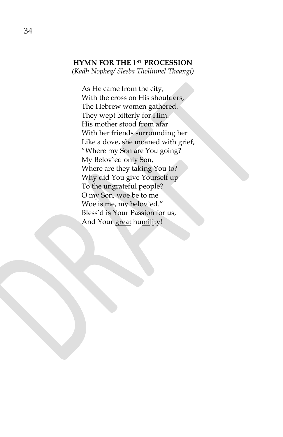## **HYMN FOR THE 1ST PROCESSION**

*(Kadh Nopheq/ Sleeba Tholinmel Thaangi)*

As He came from the city, With the cross on His shoulders, The Hebrew women gathered. They wept bitterly for Him. His mother stood from afar With her friends surrounding her Like a dove, she moaned with grief, "Where my Son are You going? My Belov`ed only Son, Where are they taking You to? Why did You give Yourself up To the ungrateful people? O my Son, woe be to me Woe is me, my belov`ed." Bless'd is Your Passion for us, And Your great humility!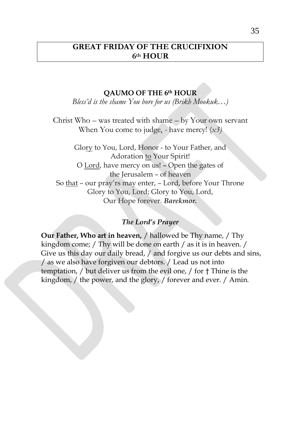# **GREAT FRIDAY OF THE CRUCIFIXION 6th HOUR**

## **QAUMO OF THE 6th HOUR**

*Bless'd is the shame You bore for us (Brikh Mookuk…)*

Christ Who – was treated with shame – by Your own servant When You come to judge, - have mercy! (*x3)*

Glory to You, Lord, Honor - to Your Father, and Adoration to Your Spirit! O Lord, have mercy on us! – Open the gates of the Jerusalem – of heaven So that – our pray'rs may enter, – Lord, before Your Throne Glory to You, Lord; Glory to You, Lord, Our Hope forever. *Barekmor.*

## *The Lord's Prayer*

**Our Father, Who art in heaven,** / hallowed be Thy name, / Thy kingdom come; / Thy will be done on earth / as it is in heaven. / Give us this day our daily bread, / and forgive us our debts and sins, / as we also have forgiven our debtors. / Lead us not into temptation, / but deliver us from the evil one, / for † Thine is the kingdom, / the power, and the glory, / forever and ever. / Amin.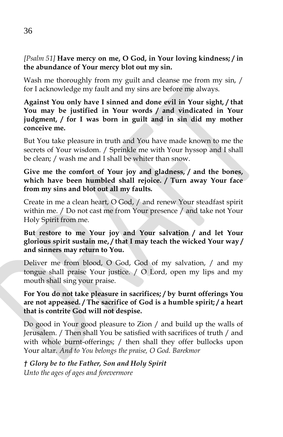*[Psalm 51]* **Have mercy on me, O God, in Your loving kindness; / in the abundance of Your mercy blot out my sin.**

Wash me thoroughly from my guilt and cleanse me from my sin, / for I acknowledge my fault and my sins are before me always.

**Against You only have I sinned and done evil in Your sight, / that You may be justified in Your words / and vindicated in Your judgment, / for I was born in guilt and in sin did my mother conceive me.**

But You take pleasure in truth and You have made known to me the secrets of Your wisdom. / Sprinkle me with Your hyssop and I shall be clean; / wash me and I shall be whiter than snow.

**Give me the comfort of Your joy and gladness, / and the bones, which have been humbled shall rejoice. / Turn away Your face from my sins and blot out all my faults.**

Create in me a clean heart, O God, / and renew Your steadfast spirit within me. / Do not cast me from Your presence / and take not Your Holy Spirit from me.

# **But restore to me Your joy and Your salvation / and let Your glorious spirit sustain me, / that I may teach the wicked Your way / and sinners may return to You.**

Deliver me from blood, O God, God of my salvation, / and my tongue shall praise Your justice. / O Lord, open my lips and my mouth shall sing your praise.

**For You do not take pleasure in sacrifices; / by burnt offerings You are not appeased. / The sacrifice of God is a humble spirit; / a heart that is contrite God will not despise.**

Do good in Your good pleasure to Zion / and build up the walls of Jerusalem. / Then shall You be satisfied with sacrifices of truth / and with whole burnt-offerings; / then shall they offer bullocks upon Your altar. *And to You belongs the praise, O God. Barekmor*

*† Glory be to the Father, Son and Holy Spirit*

*Unto the ages of ages and forevermore*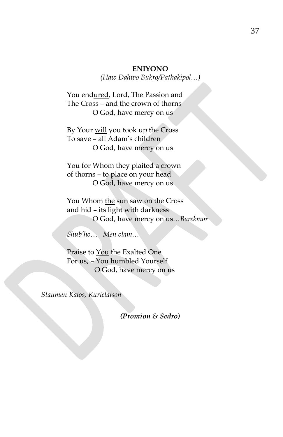## **ENIYONO**

*(Haw Dahwo Bukro/Pathakipol…)*

You endured, Lord, The Passion and The Cross – and the crown of thorns O God, have mercy on us

By Your will you took up the Cross To save – all Adam's children O God, have mercy on us

You for Whom they plaited a crown of thorns – to place on your head O God, have mercy on us

You Whom the sun saw on the Cross and hid – its light with darkness O God, have mercy on us…*Barekmor* 

*Shub'ho… Men olam…*

Praise to You the Exalted One For us, – You humbled Yourself O God, have mercy on us

*Staumen Kalos, Kurielaison*

*(Promion & Sedro)*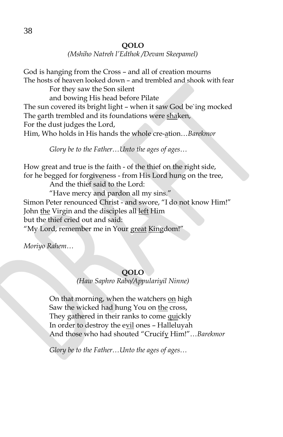*(Mshiho Natreh l'Edthok /Devam Skeepamel)*

God is hanging from the Cross – and all of creation mourns The hosts of heaven looked down – and trembled and shook with fear For they saw the Son silent and bowing His head before Pilate The sun covered its bright light – when it saw God be`ing mocked The earth trembled and its foundations were shaken, For the dust judges the Lord, Him, Who holds in His hands the whole cre-ation…*Barekmor*

*Glory be to the Father…Unto the ages of ages…*

How great and true is the faith - of the thief on the right side, for he begged for forgiveness - from His Lord hung on the tree,

And the thief said to the Lord:

"Have mercy and pardon all my sins." Simon Peter renounced Christ - and swore, "I do not know Him!" John the Virgin and the disciples all left Him but the thief cried out and said: "My Lord, remember me in Your great Kingdom!"

*Moriyo Rahem…*

## **QOLO**

*(Haw Saphro Rabo/Appulariyil Ninne)*

On that morning, when the watchers on high Saw the wicked had hung You on the cross, They gathered in their ranks to come quickly In order to destroy the evil ones – Halleluyah And those who had shouted "Crucify Him!"…*Barekmor*

*Glory be to the Father…Unto the ages of ages…*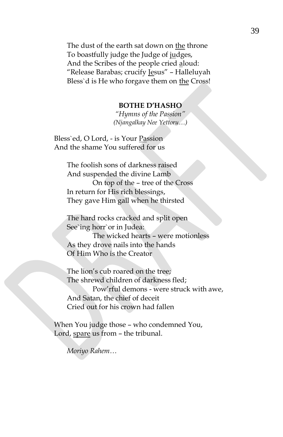The dust of the earth sat down on the throne To boastfully judge the Judge of judges, And the Scribes of the people cried aloud: "Release Barabas; crucify Jesus" – Halleluyah Bless`d is He who forgave them on the Cross!

#### **BOTHE D'HASHO**

*"Hymns of the Passion" (Njangalkay Nee Yettoru…)*

Bless`ed, O Lord, - is Your Passion And the shame You suffered for us

> The foolish sons of darkness raised And suspended the divine Lamb On top of the – tree of the Cross In return for His rich blessings, They gave Him gall when he thirsted

The hard rocks cracked and split open See`ing horr`or in Judea:

The wicked hearts – were motionless As they drove nails into the hands Of Him Who is the Creator

The lion's cub roared on the tree; The shrewd children of darkness fled; Pow'rful demons - were struck with awe, And Satan, the chief of deceit Cried out for his crown had fallen

When You judge those – who condemned You, Lord, spare us from – the tribunal.

*Moriyo Rahem…*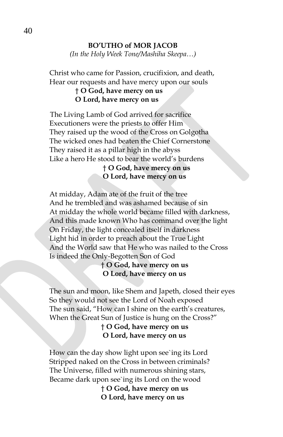#### **BO'UTHO of MOR JACOB**

*(In the Holy Week Tone/Mashiha Skeepa…)*

Christ who came for Passion, crucifixion, and death, Hear our requests and have mercy upon our souls

## † **O God, have mercy on us O Lord, have mercy on us**

 The Living Lamb of God arrived for sacrifice Executioners were the priests to offer Him They raised up the wood of the Cross on Golgotha The wicked ones had beaten the Chief Cornerstone They raised it as a pillar high in the abyss Like a hero He stood to bear the world's burdens

> † **O God, have mercy on us O Lord, have mercy on us**

At midday, Adam ate of the fruit of the tree And he trembled and was ashamed because of sin At midday the whole world became filled with darkness, And this made known Who has command over the light On Friday, the light concealed itself in darkness Light hid in order to preach about the True Light And the World saw that He who was nailed to the Cross Is indeed the Only-Begotten Son of God

## † **O God, have mercy on us O Lord, have mercy on us**

The sun and moon, like Shem and Japeth, closed their eyes So they would not see the Lord of Noah exposed The sun said, "How can I shine on the earth's creatures, When the Great Sun of Justice is hung on the Cross?"

> † **O God, have mercy on us O Lord, have mercy on us**

How can the day show light upon see`ing its Lord Stripped naked on the Cross in between criminals? The Universe, filled with numerous shining stars, Became dark upon see`ing its Lord on the wood

> † **O God, have mercy on us O Lord, have mercy on us**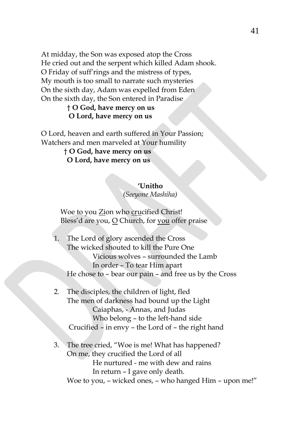At midday, the Son was exposed atop the Cross He cried out and the serpent which killed Adam shook. O Friday of suff'rings and the mistress of types, My mouth is too small to narrate such mysteries On the sixth day, Adam was expelled from Eden On the sixth day, the Son entered in Paradise

## † **O God, have mercy on us O Lord, have mercy on us**

O Lord, heaven and earth suffered in Your Passion; Watchers and men marveled at Your humility

> † **O God, have mercy on us O Lord, have mercy on us**

#### **'Unitho**

*(Seeyone Mashiha)*

Woe to you Zion who crucified Christ! Bless'd are you, O Church, for you offer praise

- 1. The Lord of glory ascended the Cross The wicked shouted to kill the Pure One Vicious wolves – surrounded the Lamb In order – To tear Him apart He chose to – bear our pain – and free us by the Cross
- 2. The disciples, the children of light, fled The men of darkness had bound up the Light Caiaphas, - Annas, and Judas Who belong – to the left-hand side Crucified – in envy – the Lord of – the right hand
- 3. The tree cried, "Woe is me! What has happened? On me, they crucified the Lord of all He nurtured - me with dew and rains In return – I gave only death. Woe to you, – wicked ones, – who hanged Him – upon me!"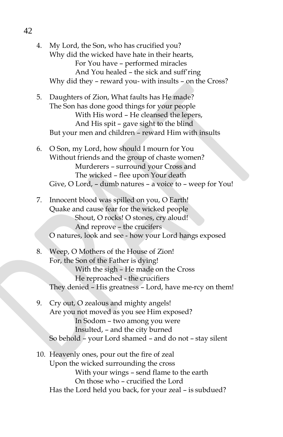4. My Lord, the Son, who has crucified you? Why did the wicked have hate in their hearts, For You have – performed miracles And You healed – the sick and suff'ring Why did they – reward you- with insults – on the Cross?

- 5. Daughters of Zion, What faults has He made? The Son has done good things for your people With His word – He cleansed the lepers, And His spit – gave sight to the blind But your men and children – reward Him with insults
- 6. O Son, my Lord, how should I mourn for You Without friends and the group of chaste women? Murderers – surround your Cross and The wicked – flee upon Your death Give, O Lord, – dumb natures – a voice to – weep for You!
- 7. Innocent blood was spilled on you, O Earth! Quake and cause fear for the wicked people Shout, O rocks! O stones, cry aloud! And reprove – the crucifers O natures, look and see - how your Lord hangs exposed
- 8. Weep, O Mothers of the House of Zion! For, the Son of the Father is dying! With the sigh – He made on the Cross He reproached - the crucifiers They denied – His greatness – Lord, have me-rcy on them!
- 9. Cry out, O zealous and mighty angels! Are you not moved as you see Him exposed? In Sodom – two among you were Insulted, – and the city burned So behold – your Lord shamed – and do not – stay silent
- 10. Heavenly ones, pour out the fire of zeal Upon the wicked surrounding the cross With your wings – send flame to the earth On those who – crucified the Lord Has the Lord held you back, for your zeal – is subdued?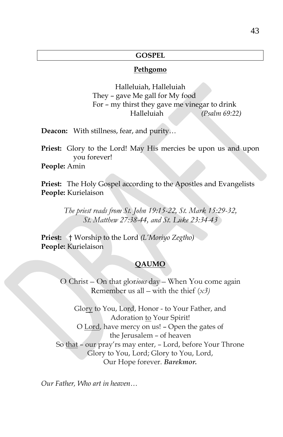### **GOSPEL**

#### **Pethgomo**

Halleluiah, Halleluiah They – gave Me gall for My food For – my thirst they gave me vinegar to drink Halleluiah *(Psalm 69:22)*

**Deacon:** With stillness, fear, and purity…

**Priest:** Glory to the Lord! May His mercies be upon us and upon you forever!

**People:** Amin

**Priest:** The Holy Gospel according to the Apostles and Evangelists **People:** Kurielaison

> *The priest reads from St. John 19:15-22, St. Mark 15:29-32, St. Matthew 27:38-44, and St. Luke 23:34-43*

**Priest:** † Worship to the Lord *(L'Moriyo Zegtho)* **People:** Kurielaison

### **QAUMO**

O Christ – On that glor*ious* day – When You come again Remember us all – with the thief (*x3)*

Glory to You, Lord, Honor - to Your Father, and Adoration to Your Spirit! O Lord, have mercy on us! – Open the gates of the Jerusalem – of heaven So that – our pray'rs may enter, – Lord, before Your Throne Glory to You, Lord; Glory to You, Lord, Our Hope forever. *Barekmor.*

*Our Father, Who art in heaven…*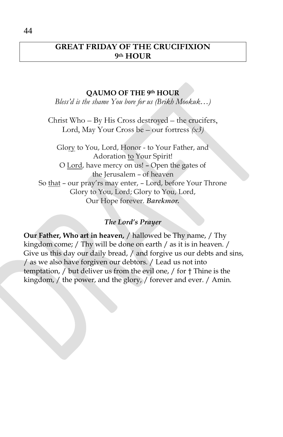# **GREAT FRIDAY OF THE CRUCIFIXION 9th HOUR**

## **QAUMO OF THE 9th HOUR**

*Bless'd is the shame You bore for us (Brikh Mookuk…)*

Christ Who – By His Cross destroyed – the crucifers, Lord, May Your Cross be – our fortress *(x3)*

Glory to You, Lord, Honor - to Your Father, and Adoration to Your Spirit! O Lord, have mercy on us! – Open the gates of the Jerusalem – of heaven So that – our pray'rs may enter, – Lord, before Your Throne Glory to You, Lord; Glory to You, Lord, Our Hope forever. *Barekmor.*

## *The Lord's Prayer*

**Our Father, Who art in heaven,** / hallowed be Thy name, / Thy kingdom come; / Thy will be done on earth / as it is in heaven. / Give us this day our daily bread, / and forgive us our debts and sins, / as we also have forgiven our debtors. / Lead us not into temptation, / but deliver us from the evil one, / for † Thine is the kingdom, / the power, and the glory, / forever and ever. / Amin.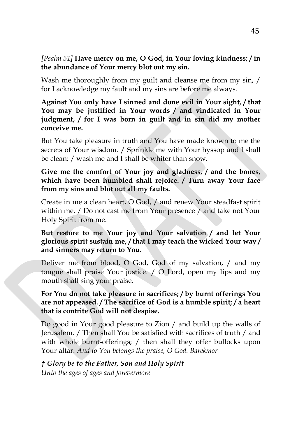## *[Psalm 51]* **Have mercy on me, O God, in Your loving kindness; / in the abundance of Your mercy blot out my sin.**

Wash me thoroughly from my guilt and cleanse me from my sin, / for I acknowledge my fault and my sins are before me always.

**Against You only have I sinned and done evil in Your sight, / that You may be justified in Your words / and vindicated in Your judgment, / for I was born in guilt and in sin did my mother conceive me.**

But You take pleasure in truth and You have made known to me the secrets of Your wisdom. / Sprinkle me with Your hyssop and I shall be clean; / wash me and I shall be whiter than snow.

**Give me the comfort of Your joy and gladness, / and the bones, which have been humbled shall rejoice. / Turn away Your face from my sins and blot out all my faults.**

Create in me a clean heart, O God, / and renew Your steadfast spirit within me. / Do not cast me from Your presence / and take not Your Holy Spirit from me.

## **But restore to me Your joy and Your salvation / and let Your glorious spirit sustain me, / that I may teach the wicked Your way / and sinners may return to You.**

Deliver me from blood, O God, God of my salvation, / and my tongue shall praise Your justice. / O Lord, open my lips and my mouth shall sing your praise.

**For You do not take pleasure in sacrifices; / by burnt offerings You are not appeased. / The sacrifice of God is a humble spirit; / a heart that is contrite God will not despise.**

Do good in Your good pleasure to Zion / and build up the walls of Jerusalem. / Then shall You be satisfied with sacrifices of truth / and with whole burnt-offerings; / then shall they offer bullocks upon Your altar. *And to You belongs the praise, O God. Barekmor*

*† Glory be to the Father, Son and Holy Spirit Unto the ages of ages and forevermore*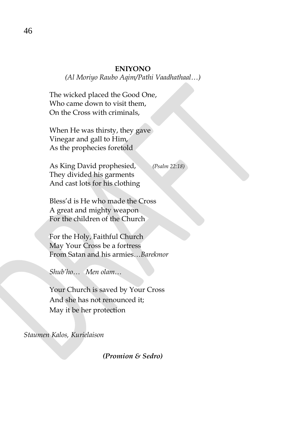#### **ENIYONO**

*(Al Moriyo Raubo Aqim/Pathi Vaadhathaal…)*

The wicked placed the Good One, Who came down to visit them, On the Cross with criminals,

When He was thirsty, they gave Vinegar and gall to Him, As the prophecies foretold

As King David prophesied, *(Psalm 22:18)* They divided his garments And cast lots for his clothing

Bless'd is He who made the Cross A great and mighty weapon For the children of the Church

For the Holy, Faithful Church May Your Cross be a fortress From Satan and his armies…*Barekmor* 

*Shub'ho… Men olam…*

Your Church is saved by Your Cross And she has not renounced it; May it be her protection

*Staumen Kalos, Kurielaison*

*(Promion & Sedro)*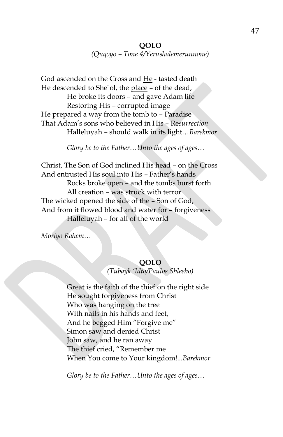*(Quqoyo – Tone 4/Yerushalemerunnone)*

God ascended on the Cross and He - tasted death He descended to She`ol, the place – of the dead, He broke its doors – and gave Adam life Restoring His – corrupted image He prepared a way from the tomb to – Paradise That Adam's sons who believed in His – Re*surrection* Halleluyah – should walk in its light…*Barekmor*

*Glory be to the Father…Unto the ages of ages…*

Christ, The Son of God inclined His head – on the Cross And entrusted His soul into His – Father's hands Rocks broke open – and the tombs burst forth All creation – was struck with terror The wicked opened the side of the – Son of God, And from it flowed blood and water for – forgiveness Halleluyah – for all of the world

*Moriyo Rahem…*

# **QOLO**

*(Tubayk 'Idto/Paulos Shleeho)*

Great is the faith of the thief on the right side He sought forgiveness from Christ Who was hanging on the tree With nails in his hands and feet, And he begged Him "Forgive me" Simon saw and denied Christ John saw, and he ran away The thief cried, "Remember me When You come to Your kingdom!...*Barekmor*

*Glory be to the Father…Unto the ages of ages…*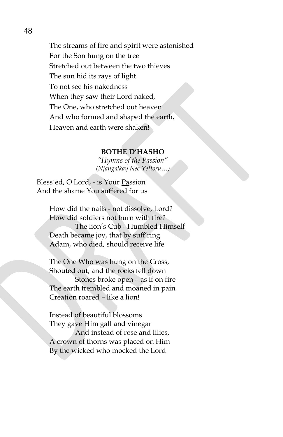The streams of fire and spirit were astonished For the Son hung on the tree Stretched out between the two thieves The sun hid its rays of light To not see his nakedness When they saw their Lord naked, The One, who stretched out heaven And who formed and shaped the earth, Heaven and earth were shaken!

#### **BOTHE D'HASHO**

*"Hymns of the Passion" (Njangalkay Nee Yettoru…)*

Bless`ed, O Lord, - is Your Passion And the shame You suffered for us

> How did the nails - not dissolve, Lord? How did soldiers not burn with fire? The lion's Cub - Humbled Himself Death became joy, that by suff'ring Adam, who died, should receive life

The One Who was hung on the Cross, Shouted out, and the rocks fell down Stones broke open – as if on fire The earth trembled and moaned in pain Creation roared – like a lion!

Instead of beautiful blossoms They gave Him gall and vinegar

And instead of rose and lilies, A crown of thorns was placed on Him By the wicked who mocked the Lord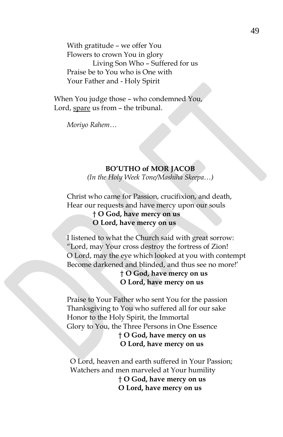With gratitude – we offer You Flowers to crown You in glory Living Son Who – Suffered for us Praise be to You who is One with Your Father and - Holy Spirit

When You judge those – who condemned You, Lord, spare us from - the tribunal.

*Moriyo Rahem…*

#### **BO'UTHO of MOR JACOB**

*(In the Holy Week Tone/Mashiha Skeepa…)*

Christ who came for Passion, crucifixion, and death, Hear our requests and have mercy upon our souls

> † **O God, have mercy on us O Lord, have mercy on us**

I listened to what the Church said with great sorrow: "Lord, may Your cross destroy the fortress of Zion! O Lord, may the eye which looked at you with contempt Become darkened and blinded, and thus see no more!'

> † **O God, have mercy on us O Lord, have mercy on us**

Praise to Your Father who sent You for the passion Thanksgiving to You who suffered all for our sake Honor to the Holy Spirit, the Immortal Glory to You, the Three Persons in One Essence † **O God, have mercy on us O Lord, have mercy on us**

O Lord, heaven and earth suffered in Your Passion; Watchers and men marveled at Your humility † **O God, have mercy on us O Lord, have mercy on us**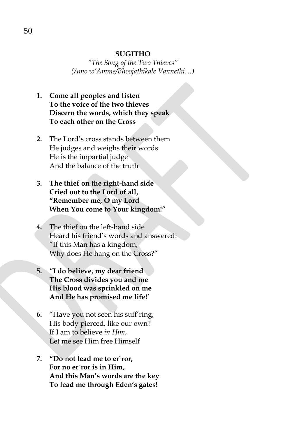#### **SUGITHO**

*"The Song of the Two Thieves" (Amo w'Amme/Bhoojathikale Vannethi…)*

- **1. Come all peoples and listen To the voice of the two thieves Discern the words, which they speak To each other on the Cross**
- **2.** The Lord's cross stands between them He judges and weighs their words He is the impartial judge And the balance of the truth
- **3. The thief on the right-hand side Cried out to the Lord of all, "Remember me, O my Lord When You come to Your kingdom!"**
- **4.** The thief on the left-hand side Heard his friend's words and answered: "If this Man has a kingdom, Why does He hang on the Cross?"
- **5. "I do believe, my dear friend The Cross divides you and me His blood was sprinkled on me And He has promised me life!'**
- **6.** "Have you not seen his suff'ring, His body pierced, like our own? If I am to believe *in Him*, Let me see Him free Himself
- **7. "Do not lead me to er`ror, For no er`ror is in Him, And this Man's words are the key To lead me through Eden's gates!**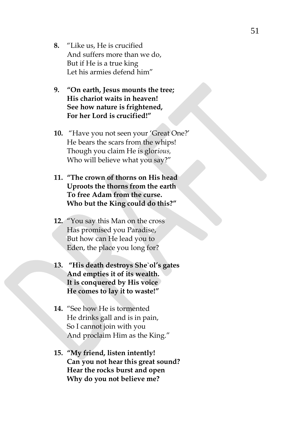- **8.** "Like us, He is crucified And suffers more than we do, But if He is a true king Let his armies defend him"
- **9. "On earth, Jesus mounts the tree; His chariot waits in heaven! See how nature is frightened, For her Lord is crucified!"**
- **10.** "Have you not seen your 'Great One?' He bears the scars from the whips! Though you claim He is glor*ious,* Who will believe what you say?"
- **11. "The crown of thorns on His head Uproots the thorns from the earth To free Adam from the curse. Who but the King could do this?"**
- **12.** "You say this Man on the cross Has promised you Paradise, But how can He lead you to Eden, the place you long for?
- **13. "His death destroys She`ol's gates And empties it of its wealth. It is conquered by His voice He comes to lay it to waste!"**
- **14.** "See how He is tormented He drinks gall and is in pain, So I cannot join with you And proclaim Him as the King."
- **15. "My friend, listen intently! Can you not hear this great sound? Hear the rocks burst and open Why do you not believe me?**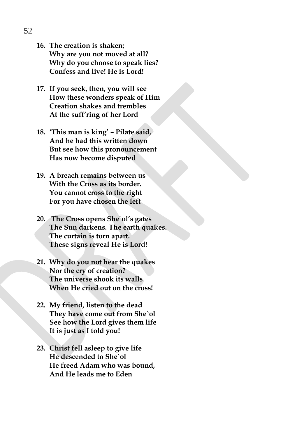- **16. The creation is shaken; Why are you not moved at all? Why do you choose to speak lies? Confess and live! He is Lord!**
- **17. If you seek, then, you will see How these wonders speak of Him Creation shakes and trembles At the suff'ring of her Lord**
- **18. 'This man is king' – Pilate said, And he had this written down But see how this pronouncement Has now become disputed**
- **19. A breach remains between us With the Cross as its border. You cannot cross to the right For you have chosen the left**
- **20. The Cross opens She`ol's gates The Sun darkens. The earth quakes. The curtain is torn apart. These signs reveal He is Lord!**
- **21. Why do you not hear the quakes Nor the cry of creation? The universe shook its walls When He cried out on the cross!**
- **22. My friend, listen to the dead They have come out from She`ol See how the Lord gives them life It is just as I told you!**
- **23. Christ fell asleep to give life He descended to She`ol He freed Adam who was bound, And He leads me to Eden**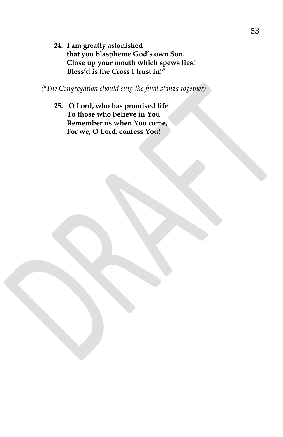**24. I am greatly astonished that you blaspheme God's own Son. Close up your mouth which spews lies! Bless'd is the Cross I trust in!"**

*(\*The Congregation should sing the final stanza together)*

**25. O Lord, who has promised life To those who believe in You Remember us when You come, For we, O Lord, confess You!**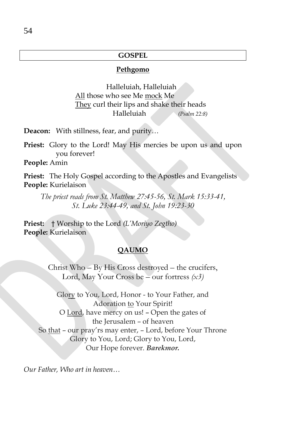## **GOSPEL**

#### **Pethgomo**

 Halleluiah, Halleluiah All those who see Me mock Me They curl their lips and shake their heads Halleluiah *(Psalm 22:8)*

**Deacon:** With stillness, fear, and purity…

**Priest:** Glory to the Lord! May His mercies be upon us and upon you forever!

**People:** Amin

**Priest:** The Holy Gospel according to the Apostles and Evangelists **People:** Kurielaison

*The priest reads from St. Matthew 27:45-56, St. Mark 15:33-41, St. Luke 23:44-49, and St. John 19:23-30*

**Priest:** † Worship to the Lord *(L'Moriyo Zegtho)* **People:** Kurielaison

#### **QAUMO**

Christ Who – By His Cross destroyed – the crucifers, Lord, May Your Cross be – our fortress *(x3)*

Glory to You, Lord, Honor - to Your Father, and Adoration to Your Spirit! O Lord, have mercy on us! – Open the gates of the Jerusalem – of heaven So that – our pray'rs may enter, – Lord, before Your Throne Glory to You, Lord; Glory to You, Lord, Our Hope forever. *Barekmor.*

*Our Father, Who art in heaven…*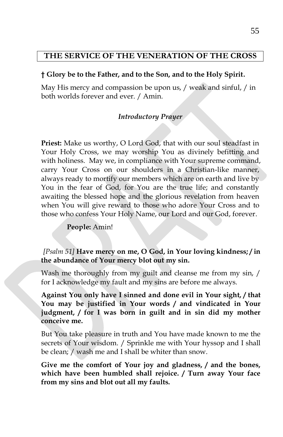## **THE SERVICE OF THE VENERATION OF THE CROSS**

## **† Glory be to the Father, and to the Son, and to the Holy Spirit.**

May His mercy and compassion be upon us, / weak and sinful, / in both worlds forever and ever. / Amin.

## *Introductory Prayer*

**Priest:** Make us worthy, O Lord God, that with our soul steadfast in Your Holy Cross, we may worship You as divinely befitting and with holiness. May we, in compliance with Your supreme command, carry Your Cross on our shoulders in a Christian-like manner, always ready to mortify our members which are on earth and live by You in the fear of God, for You are the true life; and constantly awaiting the blessed hope and the glorious revelation from heaven when You will give reward to those who adore Your Cross and to those who confess Your Holy Name, our Lord and our God, forever.

## **People:** Amin!

*[Psalm 51]* **Have mercy on me, O God, in Your loving kindness; / in the abundance of Your mercy blot out my sin.**

Wash me thoroughly from my guilt and cleanse me from my sin, / for I acknowledge my fault and my sins are before me always.

**Against You only have I sinned and done evil in Your sight, / that You may be justified in Your words / and vindicated in Your judgment, / for I was born in guilt and in sin did my mother conceive me.**

But You take pleasure in truth and You have made known to me the secrets of Your wisdom. / Sprinkle me with Your hyssop and I shall be clean; / wash me and I shall be whiter than snow.

**Give me the comfort of Your joy and gladness, / and the bones, which have been humbled shall rejoice. / Turn away Your face from my sins and blot out all my faults.**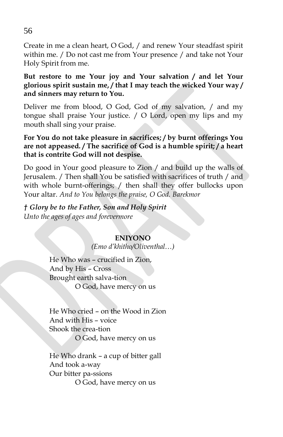Create in me a clean heart, O God, / and renew Your steadfast spirit within me. / Do not cast me from Your presence / and take not Your Holy Spirit from me.

**But restore to me Your joy and Your salvation / and let Your glorious spirit sustain me, / that I may teach the wicked Your way / and sinners may return to You.**

Deliver me from blood, O God, God of my salvation, / and my tongue shall praise Your justice. / O Lord, open my lips and my mouth shall sing your praise.

**For You do not take pleasure in sacrifices; / by burnt offerings You are not appeased. / The sacrifice of God is a humble spirit; / a heart that is contrite God will not despise.**

Do good in Your good pleasure to Zion / and build up the walls of Jerusalem. / Then shall You be satisfied with sacrifices of truth / and with whole burnt-offerings; / then shall they offer bullocks upon Your altar. *And to You belongs the praise, O God. Barekmor*

*† Glory be to the Father, Son and Holy Spirit Unto the ages of ages and forevermore*

## **ENIYONO**

*(Emo d'khitho/Oliventhal…)*

He Who was – crucified in Zion, And by His – Cross Brought earth salva-tion O God, have mercy on us

He Who cried – on the Wood in Zion And with His – voice Shook the crea-tion O God, have mercy on us

He Who drank – a cup of bitter gall And took a-way Our bitter pa-ssions O God, have mercy on us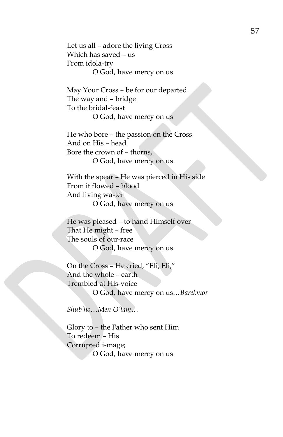Let us all – adore the living Cross Which has saved – us From idola-try O God, have mercy on us

May Your Cross – be for our departed The way and – bridge To the bridal-feast O God, have mercy on us

He who bore – the passion on the Cross And on His – head Bore the crown of – thorns, O God, have mercy on us

With the spear – He was pierced in His side From it flowed – blood And living wa-ter O God, have mercy on us

He was pleased – to hand Himself over That He might – free The souls of our-race O God, have mercy on us

On the Cross – He cried, "Eli, Eli," And the whole – earth Trembled at His-voice O God, have mercy on us…*Barekmor*

*Shub'ho…Men O'lam…*

Glory to – the Father who sent Him To redeem – His Corrupted i-mage; O God, have mercy on us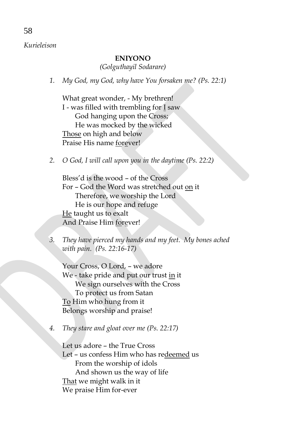# *Kurieleison*

## **ENIYONO**

*(Golguthayil Sodarare)*

*1. My God, my God, why have You forsaken me? (Ps. 22:1)*

What great wonder, - My brethren! I - was filled with trembling for I saw God hanging upon the Cross; He was mocked by the wicked Those on high and below Praise His name forever!

*2. O God, I will call upon you in the daytime (Ps. 22:2)*

Bless'd is the wood – of the Cross For – God the Word was stretched out on it Therefore, we worship the Lord He is our hope and refuge He taught us to exalt And Praise Him forever!

*3. They have pierced my hands and my feet. My bones ached with pain. (Ps. 22:16-17)*

Your Cross, O Lord, – we adore We - take pride and put our trust in it We sign ourselves with the Cross To protect us from Satan To Him who hung from it Belongs worship and praise!

*4. They stare and gloat over me (Ps. 22:17)*

Let us adore – the True Cross Let – us confess Him who has redeemed us From the worship of idols And shown us the way of life That we might walk in it We praise Him for-ever

58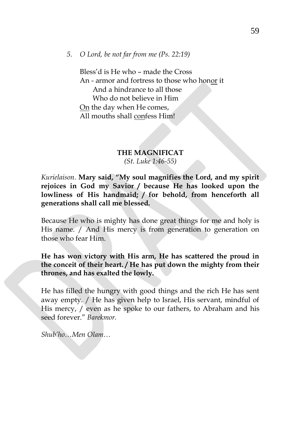### *5. O Lord, be not far from me (Ps. 22:19)*

Bless'd is He who – made the Cross An - armor and fortress to those who honor it And a hindrance to all those Who do not believe in Him On the day when He comes, All mouths shall confess Him!

### **THE MAGNIFICAT** *(St. Luke 1:46-55)*

*Kurielaison*. **Mary said, "My soul magnifies the Lord, and my spirit rejoices in God my Savior / because He has looked upon the lowliness of His handmaid; / for behold, from henceforth all generations shall call me blessed.**

Because He who is mighty has done great things for me and holy is His name. / And His mercy is from generation to generation on those who fear Him.

**He has won victory with His arm, He has scattered the proud in the conceit of their heart. / He has put down the mighty from their thrones, and has exalted the lowly.** 

He has filled the hungry with good things and the rich He has sent away empty. / He has given help to Israel, His servant, mindful of His mercy, / even as he spoke to our fathers, to Abraham and his seed forever." *Barekmor.*

*Shub'ho…Men Olam…*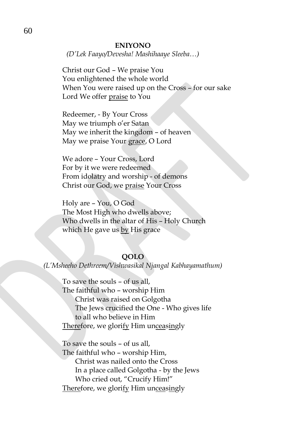#### **ENIYONO**

*(D'Lek Faayo/Devesha! Mashihaaye Sleeba…)*

Christ our God – We praise You You enlightened the whole world When You were raised up on the Cross – for our sake Lord We offer praise to You

Redeemer, - By Your Cross May we triumph o'er Satan May we inherit the kingdom – of heaven May we praise Your grace, O Lord

We adore – Your Cross, Lord For by it we were redeemed From idolatry and worship - of demons Christ our God, we praise Your Cross

Holy are – You, O God The Most High who dwells above; Who dwells in the altar of His – Holy Church which He gave us by His grace

#### **QOLO**

*(L'Msheeho Dethreem/Vishwasikal Njangal Kabhayamathum)*

To save the souls – of us all, The faithful who – worship Him Christ was raised on Golgotha The Jews crucified the One - Who gives life to all who believe in Him Therefore, we glorify Him unceasingly

To save the souls – of us all, The faithful who – worship Him, Christ was nailed onto the Cross In a place called Golgotha - by the Jews Who cried out, "Crucify Him!" Therefore, we glorify Him unceasingly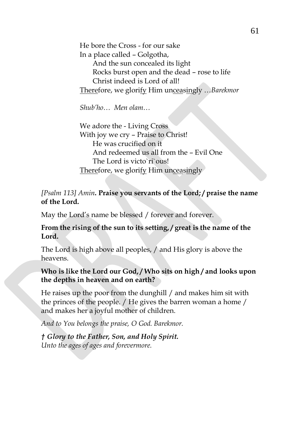He bore the Cross - for our sake In a place called – Golgotha, And the sun concealed its light Rocks burst open and the dead – rose to life Christ indeed is Lord of all! Therefore, we glorify Him unceasingly …*Barekmor*

*Shub'ho… Men olam…*

We adore the - Living Cross With joy we cry – Praise to Christ! He was crucified on it And redeemed us all from the – Evil One The Lord is victo`ri`ous! Therefore, we glorify Him unceasingly

## *[Psalm 113] Amin***. Praise you servants of the Lord; / praise the name of the Lord.**

May the Lord's name be blessed / forever and forever.

## **From the rising of the sun to its setting, / great is the name of the Lord.**

The Lord is high above all peoples, / and His glory is above the heavens.

## **Who is like the Lord our God, / Who sits on high / and looks upon the depths in heaven and on earth?**

He raises up the poor from the dunghill / and makes him sit with the princes of the people. / He gives the barren woman a home / and makes her a joyful mother of children.

*And to You belongs the praise, O God. Barekmor.*

*† Glory to the Father, Son, and Holy Spirit. Unto the ages of ages and forevermore.*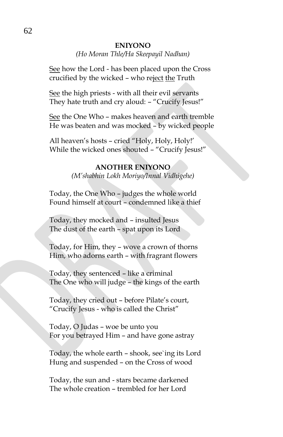#### **ENIYONO**

#### *(Ho Moran Thle/Ha Skeepayil Nadhan)*

See how the Lord - has been placed upon the Cross crucified by the wicked - who reject the Truth

See the high priests - with all their evil servants They hate truth and cry aloud: – "Crucify Jesus!"

See the One Who – makes heaven and earth tremble He was beaten and was mocked – by wicked people

All heaven's hosts – cried "Holy, Holy, Holy!' While the wicked ones shouted – "Crucify Jesus!"

## **ANOTHER ENIYONO**

*(M'shabhin Lokh Moriyo/Innal Vidhigehe)*

Today, the One Who – judges the whole world Found himself at court – condemned like a thief

Today, they mocked and – insulted Jesus The dust of the earth – spat upon its Lord

Today, for Him, they – wove a crown of thorns Him, who adorns earth – with fragrant flowers

Today, they sentenced – like a criminal The One who will judge – the kings of the earth

Today, they cried out – before Pilate's court, "Crucify Jesus - who is called the Christ"

Today, O Judas – woe be unto you For you betrayed Him – and have gone astray

Today, the whole earth – shook, see`ing its Lord Hung and suspended – on the Cross of wood

Today, the sun and - stars became darkened The whole creation – trembled for her Lord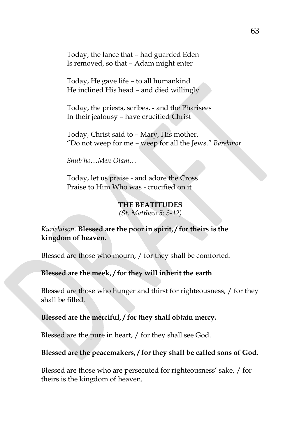Today, the lance that – had guarded Eden Is removed, so that – Adam might enter

Today, He gave life – to all humankind He inclined His head – and died willingly

Today, the priests, scribes, - and the Pharisees In their jealousy – have crucified Christ

Today, Christ said to – Mary, His mother, "Do not weep for me – weep for all the Jews." *Barekmor*

*Shub'ho…Men Olam…*

Today, let us praise - and adore the Cross Praise to Him Who was - crucified on it

#### **THE BEATITUDES**

*(St. Matthew 5: 3-12)*

## *Kurielaison.* **Blessed are the poor in spirit, / for theirs is the kingdom of heaven.**

Blessed are those who mourn, / for they shall be comforted.

### **Blessed are the meek, / for they will inherit the earth**.

Blessed are those who hunger and thirst for righteousness, / for they shall be filled.

#### **Blessed are the merciful, / for they shall obtain mercy.**

Blessed are the pure in heart, / for they shall see God.

#### **Blessed are the peacemakers, / for they shall be called sons of God.**

Blessed are those who are persecuted for righteousness' sake, / for theirs is the kingdom of heaven.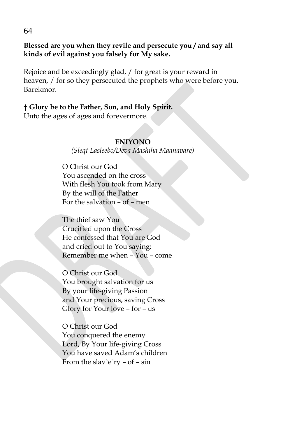**Blessed are you when they revile and persecute you / and say all kinds of evil against you falsely for My sake.**

Rejoice and be exceedingly glad, / for great is your reward in heaven, / for so they persecuted the prophets who were before you. Barekmor.

# **† Glory be to the Father, Son, and Holy Spirit.**

Unto the ages of ages and forevermore.

## **ENIYONO**

*(Sleqt Lasleebo/Deva Mashiha Maanavare)*

O Christ our God You ascended on the cross With flesh You took from Mary By the will of the Father For the salvation – of – men

The thief saw You Crucified upon the Cross He confessed that You are God and cried out to You saying: Remember me when – You – come

O Christ our God You brought salvation for us By your life-giving Passion and Your precious, saving Cross Glory for Your love – for – us

O Christ our God You conquered the enemy Lord, By Your life-giving Cross You have saved Adam's children From the slav`e`ry – of – sin

64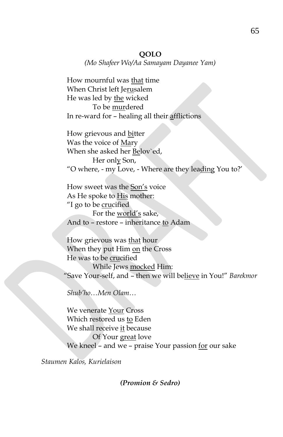*(Mo Shafeer Wo/Aa Samayam Dayanee Yam)*

How mournful was that time When Christ left Jerusalem He was led by the wicked To be murdered In re-ward for – healing all their afflictions

How grievous and bitter Was the voice of Mary When she asked her Belov`ed, Her only Son, "O where, - my Love, - Where are they leading You to?'

How sweet was the Son's voice As He spoke to His mother: "I go to be crucified For the world's sake, And to – restore – inheritance to Adam

How grievous was that hour When they put Him on the Cross He was to be crucified While Jews mocked Him: "Save Your-self, and – then we will believe in You!" *Barekmor*

*Shub'ho…Men Olam…*

We venerate Your Cross Which restored us to Eden We shall receive it because Of Your great love We kneel – and we – praise Your passion for our sake

*Staumen Kalos, Kurielaison*

*(Promion & Sedro)*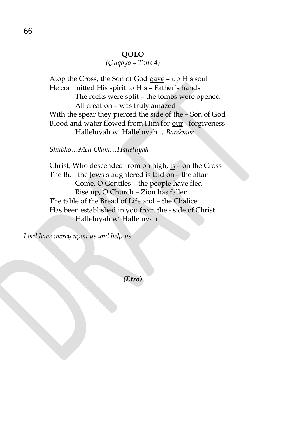## *(Quqoyo – Tone 4)*

Atop the Cross, the Son of God gave – up His soul He committed His spirit to His – Father's hands The rocks were split – the tombs were opened All creation – was truly amazed With the spear they pierced the side of the - Son of God Blood and water flowed from Him for our - forgiveness Halleluyah w' Halleluyah …*Barekmor*

#### *Shubho…Men Olam…Halleluyah*

Christ, Who descended from on high, is – on the Cross The Bull the Jews slaughtered is laid on – the altar Come, O Gentiles – the people have fled Rise up, O Church – Zion has fallen The table of the Bread of Life and – the Chalice Has been established in you from the - side of Christ Halleluyah w' Halleluyah.

*Lord have mercy upon us and help us*

*(Etro)*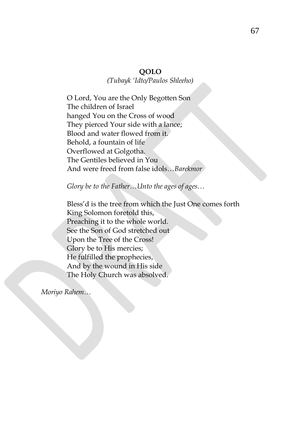*(Tubayk 'Idto/Paulos Shleeho)*

O Lord, You are the Only Begotten Son The children of Israel hanged You on the Cross of wood They pierced Your side with a lance; Blood and water flowed from it. Behold, a fountain of life Overflowed at Golgotha. The Gentiles believed in You And were freed from false idols…*Barekmor*

*Glory be to the Father…Unto the ages of ages…*

Bless'd is the tree from which the Just One comes forth King Solomon foretold this, Preaching it to the whole world. See the Son of God stretched out Upon the Tree of the Cross! Glory be to His mercies; He fulfilled the prophecies, And by the wound in His side The Holy Church was absolved.

*Moriyo Rahem…*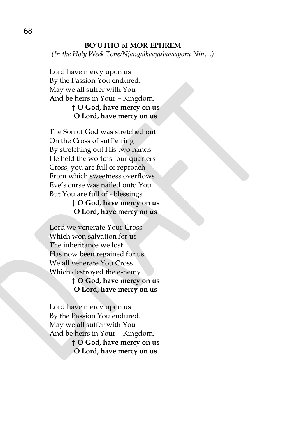#### **BO'UTHO of MOR EPHREM**

*(In the Holy Week Tone/Njangalkaayulavaayoru Nin…)*

Lord have mercy upon us By the Passion You endured. May we all suffer with You And be heirs in Your – Kingdom. † **O God, have mercy on us**

# **O Lord, have mercy on us**

The Son of God was stretched out On the Cross of suff`e`ring By stretching out His two hands He held the world's four quarters Cross, you are full of reproach From which sweetness overflows Eve's curse was nailed onto You But You are full of - blessings

## † **O God, have mercy on us O Lord, have mercy on us**

Lord we venerate Your Cross Which won salvation for us The inheritance we lost Has now been regained for us We all venerate You Cross Which destroyed the e-nemy † **O God, have mercy on us**

# **O Lord, have mercy on us**

Lord have mercy upon us By the Passion You endured. May we all suffer with You And be heirs in Your – Kingdom.

> † **O God, have mercy on us O Lord, have mercy on us**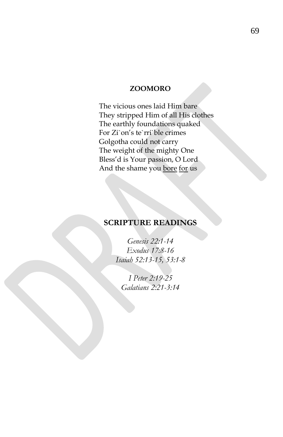## **ZOOMORO**

The vicious ones laid Him bare They stripped Him of all His clothes The earthly foundations quaked For Zi`on's te`rri`ble crimes Golgotha could not carry The weight of the mighty One Bless'd is Your passion, O Lord And the shame you bore for us

# **SCRIPTURE READINGS**

*Genesis 22:1-14 Exodus 17:8-16 Isaiah 52:13-15, 53:1-8*

*I Peter 2:19-25 Galatians 2:21-3:14*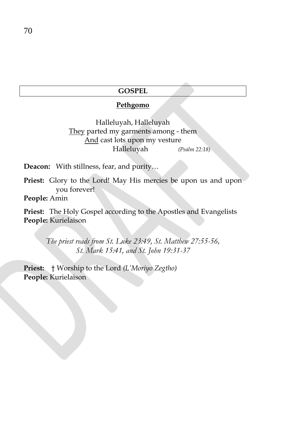### **GOSPEL**

#### **Pethgomo**

Halleluyah, Halleluyah They parted my garments among - them And cast lots upon my vesture Halleluyah *(Psalm 22:18)*

**Deacon:** With stillness, fear, and purity…

**Priest:** Glory to the Lord! May His mercies be upon us and upon you forever!

**People:** Amin

**Priest:** The Holy Gospel according to the Apostles and Evangelists **People:** Kurielaison

> *The priest reads from St. Luke 23:49, St. Matthew 27:55-56, St. Mark 15:41, and St. John 19:31-37*

**Priest:** † Worship to the Lord *(L'Moriyo Zegtho)* **People:** Kurielaison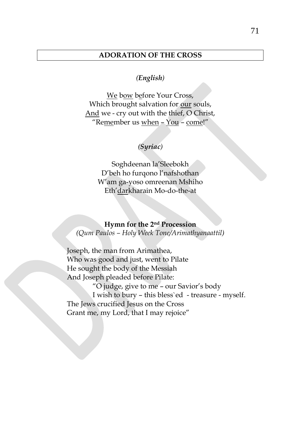## **ADORATION OF THE CROSS**

## *(English)*

We bow before Your Cross, Which brought salvation for our souls, And we - cry out with the thief, O Christ, "Remember us when – You – come!"

### *(Syriac)*

Soghdeenan la'Sleebokh D'beh ho furqono l'nafshothan W'am ga-yoso omreenan Mshiho Eth'darkharain Mo-do-the-at

#### **Hymn for the 2nd Procession**

*(Qum Paulos – Holy Week Tone/Arimathyanaattil)*

Joseph, the man from Arimathea, Who was good and just, went to Pilate He sought the body of the Messiah And Joseph pleaded before Pilate:

"O judge, give to me – our Savior's body I wish to bury – this bless`ed - treasure - myself. The Jews crucified Jesus on the Cross Grant me, my Lord, that I may rejoice"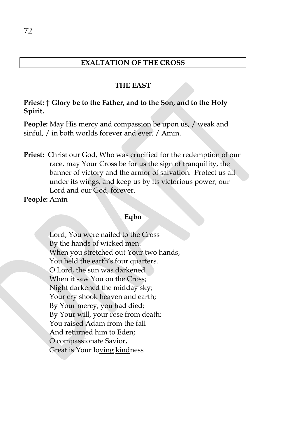## **EXALTATION OF THE CROSS**

#### **THE EAST**

#### **Priest: † Glory be to the Father, and to the Son, and to the Holy Spirit.**

**People:** May His mercy and compassion be upon us, / weak and sinful, / in both worlds forever and ever. / Amin.

**Priest:** Christ our God, Who was crucified for the redemption of our race, may Your Cross be for us the sign of tranquility, the banner of victory and the armor of salvation. Protect us all under its wings, and keep us by its victorious power, our Lord and our God, forever.

**People:** Amin

## **Eqbo**

Lord, You were nailed to the Cross By the hands of wicked men. When you stretched out Your two hands, You held the earth's four quarters. O Lord, the sun was darkened When it saw You on the Cross; Night darkened the midday sky; Your cry shook heaven and earth; By Your mercy, you had died; By Your will, your rose from death; You raised Adam from the fall And returned him to Eden; O compassionate Savior, Great is Your loving kindness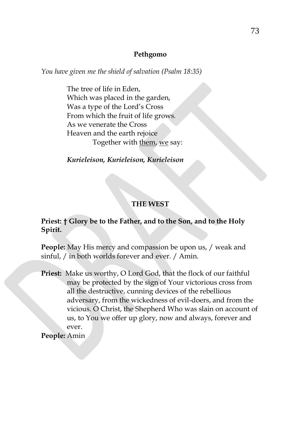## **Pethgomo**

*You have given me the shield of salvation (Psalm 18:35)*

The tree of life in Eden, Which was placed in the garden, Was a type of the Lord's Cross From which the fruit of life grows. As we venerate the Cross Heaven and the earth rejoice Together with them, we say:

*Kurieleison, Kurieleison, Kurieleison*

# **THE WEST**

# **Priest: † Glory be to the Father, and to the Son, and to the Holy Spirit.**

**People:** May His mercy and compassion be upon us, / weak and sinful, / in both worlds forever and ever. / Amin.

Priest: Make us worthy, O Lord God, that the flock of our faithful may be protected by the sign of Your victorious cross from all the destructive, cunning devices of the rebellious adversary, from the wickedness of evil-doers, and from the vicious. O Christ, the Shepherd Who was slain on account of us, to You we offer up glory, now and always, forever and ever. **People:** Amin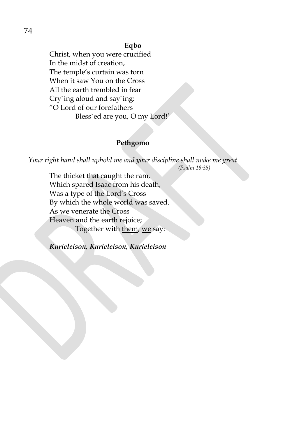## **Eqbo**

Christ, when you were crucified In the midst of creation, The temple's curtain was torn When it saw You on the Cross All the earth trembled in fear Cry`ing aloud and say`ing: "O Lord of our forefathers Bless`ed are you,  $Q$  my Lord!'

## **Pethgomo**

*Your right hand shall uphold me and your discipline shall make me great (Psalm 18:35)*

The thicket that caught the ram, Which spared Isaac from his death, Was a type of the Lord's Cross By which the whole world was saved. As we venerate the Cross Heaven and the earth rejoice; Together with them, we say:

*Kurieleison, Kurieleison, Kurieleison*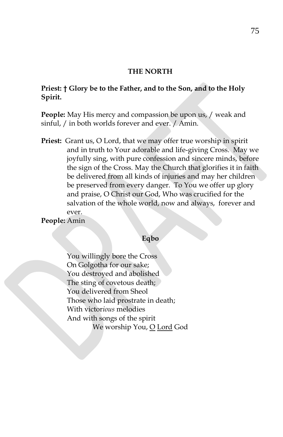## **THE NORTH**

# **Priest: † Glory be to the Father, and to the Son, and to the Holy Spirit.**

**People:** May His mercy and compassion be upon us, / weak and sinful, / in both worlds forever and ever. / Amin.

**Priest:** Grant us, O Lord, that we may offer true worship in spirit and in truth to Your adorable and life-giving Cross. May we joyfully sing, with pure confession and sincere minds, before the sign of the Cross. May the Church that glorifies it in faith be delivered from all kinds of injuries and may her children be preserved from every danger. To You we offer up glory and praise, O Christ our God, Who was crucified for the salvation of the whole world, now and always, forever and ever.

**People:** Amin

## **Eqbo**

You willingly bore the Cross On Golgotha for our sake; You destroyed and abolished The sting of covetous death; You delivered from Sheol Those who laid prostrate in death; With victor*ious* melodies And with songs of the spirit We worship You, O Lord God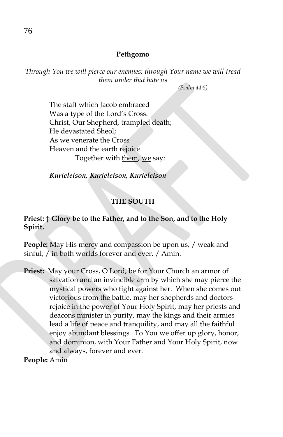## **Pethgomo**

*Through You we will pierce our enemies; through Your name we will tread them under that hate us*

*(Psalm 44:5)*

The staff which Jacob embraced Was a type of the Lord's Cross. Christ, Our Shepherd, trampled death; He devastated Sheol; As we venerate the Cross Heaven and the earth rejoice Together with them, we say:

*Kurieleison, Kurieleison, Kurieleison*

# **THE SOUTH**

# **Priest: † Glory be to the Father, and to the Son, and to the Holy Spirit.**

**People:** May His mercy and compassion be upon us, / weak and sinful, / in both worlds forever and ever. / Amin.

**Priest:** May your Cross, O Lord, be for Your Church an armor of salvation and an invincible arm by which she may pierce the mystical powers who fight against her. When she comes out victorious from the battle, may her shepherds and doctors rejoice in the power of Your Holy Spirit, may her priests and deacons minister in purity, may the kings and their armies lead a life of peace and tranquility, and may all the faithful enjoy abundant blessings. To You we offer up glory, honor, and dominion, with Your Father and Your Holy Spirit, now and always, forever and ever.

**People:** Amin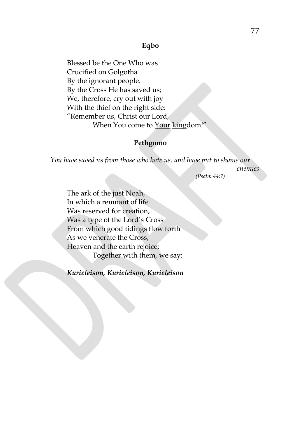## **Eqbo**

Blessed be the One Who was Crucified on Golgotha By the ignorant people. By the Cross He has saved us; We, therefore, cry out with joy With the thief on the right side: "Remember us, Christ our Lord, When You come to Your kingdom!"

## **Pethgomo**

*You have saved us from those who hate us, and have put to shame our*

*enemies*

*(Psalm 44:7)*

The ark of the just Noah, In which a remnant of life Was reserved for creation, Was a type of the Lord's Cross From which good tidings flow forth As we venerate the Cross, Heaven and the earth rejoice; Together with them, we say:

*Kurieleison, Kurieleison, Kurieleison*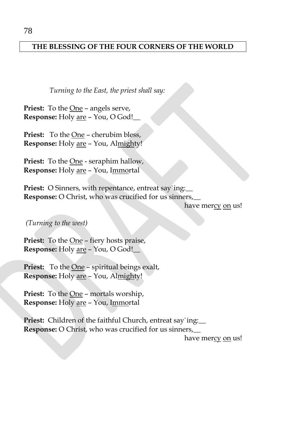# **THE BLESSING OF THE FOUR CORNERS OF THE WORLD**

*Turning to the East, the priest shall say:*

**Priest:** To the One – angels serve, **Response:** Holy are – You, O God!\_\_

Priest: To the One – cherubim bless, **Response:** Holy are – You, Almighty!

Priest: To the **One** - seraphim hallow, **Response:** Holy are – You, Immortal

**Priest:** O Sinners, with repentance, entreat say`ing: **Response:** O Christ, who was crucified for us sinners,\_\_

have mercy on us!

*(Turning to the west)*

**Priest:** To the One – fiery hosts praise, **Response:** Holy are – You, O God!\_\_

**Priest:** To the One – spiritual beings exalt, **Response:** Holy are – You, Almighty!

Priest: To the **One** - mortals worship, **Response:** Holy are – You, Immortal

**Priest:** Children of the faithful Church, entreat say`ing: **Response:** O Christ, who was crucified for us sinners,\_\_

have mercy on us!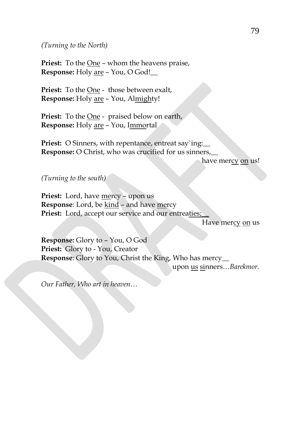*(Turning to the North)*

**Priest:** To the One – whom the heavens praise, **Response:** Holy are – You, O God!\_\_

**Priest:** To the One - those between exalt, **Response:** Holy are – You, Almighty!

Priest: To the <u>One</u> - praised below on earth, **Response:** Holy are – You, Immortal

**Priest:** O Sinners, with repentance, entreat say`ing: **Response:** O Christ, who was crucified for us sinners,\_\_

have mercy on us!

*(Turning to the south)*

**Priest:** Lord, have <u>mercy</u> – upon us **Response**: Lord, be kind - and have mercy Priest: Lord, accept our service and our entreaties;

Have mercy on us

**Response:** Glory to – You, O God **Priest:** Glory to - You, Creator **Response**: Glory to You, Christ the King, Who has mercy\_\_

upon us sinners…*Barekmor.*

*Our Father, Who art in heaven…*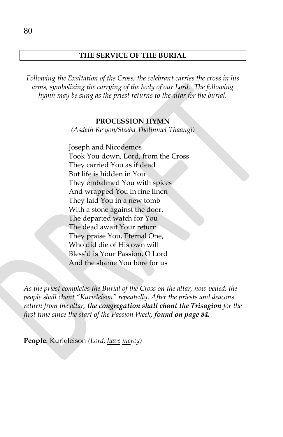# **THE SERVICE OF THE BURIAL**

*Following the Exaltation of the Cross, the celebrant carries the cross in his arms, symbolizing the carrying of the body of our Lord. The following hymn may be sung as the priest returns to the altar for the burial.*

#### **PROCESSION HYMN**

*(Asdeth Re'yon/Sleeba Tholinmel Thaangi)*

Joseph and Nicodemos Took You down, Lord, from the Cross They carried You as if dead But life is hidden in You They embalmed You with spices And wrapped You in fine linen They laid You in a new tomb With a stone against the door. The departed watch for You The dead await Your return They praise You, Eternal One, Who did die of His own will Bless'd is Your Passion, O Lord And the shame You bore for us

*As the priest completes the Burial of the Cross on the altar, now veiled, the people shall chant "Kurieleison" repeatedly. After the priests and deacons return from the altar, the congregation shall chant the Trisagion for the first time since the start of the Passion Week, found on page 84.*

**People**: Kurieleison *(Lord, have mercy)*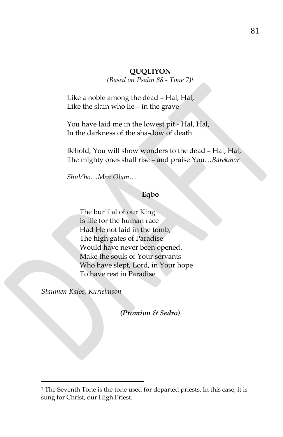# **QUQLIYON**

*(Based on Psalm 88 - Tone 7)<sup>1</sup>*

Like a noble among the dead – Hal, Hal, Like the slain who lie – in the grave

You have laid me in the lowest pit - Hal, Hal, In the darkness of the sha-dow of death

Behold, You will show wonders to the dead – Hal, Hal, The mighty ones shall rise – and praise You…*Barekmor*

*Shub'ho…Men Olam…*

#### **Eqbo**

The bur`i`al of our King Is life for the human race Had He not laid in the tomb, The high gates of Paradise Would have never been opened. Make the souls of Your servants Who have slept, Lord, in Your hope To have rest in Paradise

*Staumen Kalos, Kurielaison*

 $\overline{a}$ 

*(Promion & Sedro)*

<sup>&</sup>lt;sup>1</sup> The Seventh Tone is the tone used for departed priests. In this case, it is sung for Christ, our High Priest.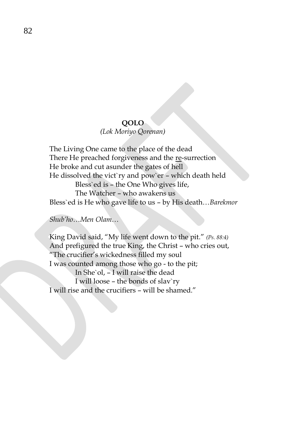# **QOLO**

# *(Lok Moriyo Qorenan)*

The Living One came to the place of the dead There He preached forgiveness and the re-surrection He broke and cut asunder the gates of hell He dissolved the vict`ry and pow`er – which death held Bless`ed is – the One Who gives life, The Watcher – who awakens us Bless`ed is He who gave life to us – by His death…*Barekmor*

*Shub'ho…Men Olam…*

King David said, "My life went down to the pit." *(Ps. 88:4)* And prefigured the true King, the Christ – who cries out, "The crucifier's wickedness filled my soul I was counted among those who go - to the pit; In She`ol, – I will raise the dead I will loose – the bonds of slav`ry I will rise and the crucifiers – will be shamed."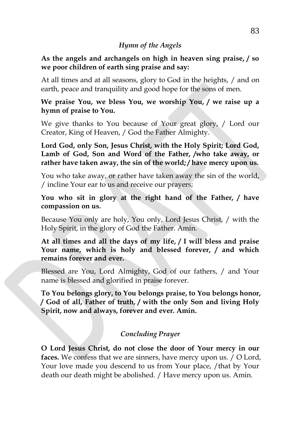# *Hymn of the Angels*

# **As the angels and archangels on high in heaven sing praise, / so we poor children of earth sing praise and say:**

At all times and at all seasons, glory to God in the heights, / and on earth, peace and tranquility and good hope for the sons of men.

**We praise You, we bless You, we worship You, / we raise up a hymn of praise to You.**

We give thanks to You because of Your great glory, / Lord our Creator, King of Heaven, / God the Father Almighty.

**Lord God, only Son, Jesus Christ, with the Holy Spirit; Lord God, Lamb of God, Son and Word of the Father, /who take away, or rather have taken away, the sin of the world; / have mercy upon us.**

You who take away, or rather have taken away the sin of the world, / incline Your ear to us and receive our prayers;

**You who sit in glory at the right hand of the Father, / have compassion on us.**

Because You only are holy, You only, Lord Jesus Christ, / with the Holy Spirit, in the glory of God the Father. Amin.

**At all times and all the days of my life, / I will bless and praise Your name, which is holy and blessed forever, / and which remains forever and ever.**

Blessed are You, Lord Almighty, God of our fathers, / and Your name is blessed and glorified in praise forever.

**To You belongs glory, to You belongs praise, to You belongs honor, / God of all, Father of truth, / with the only Son and living Holy Spirit, now and always, forever and ever. Amin.**

# *Concluding Prayer*

**O Lord Jesus Christ, do not close the door of Your mercy in our faces.** We confess that we are sinners, have mercy upon us. / O Lord, Your love made you descend to us from Your place, /that by Your death our death might be abolished. / Have mercy upon us. Amin.